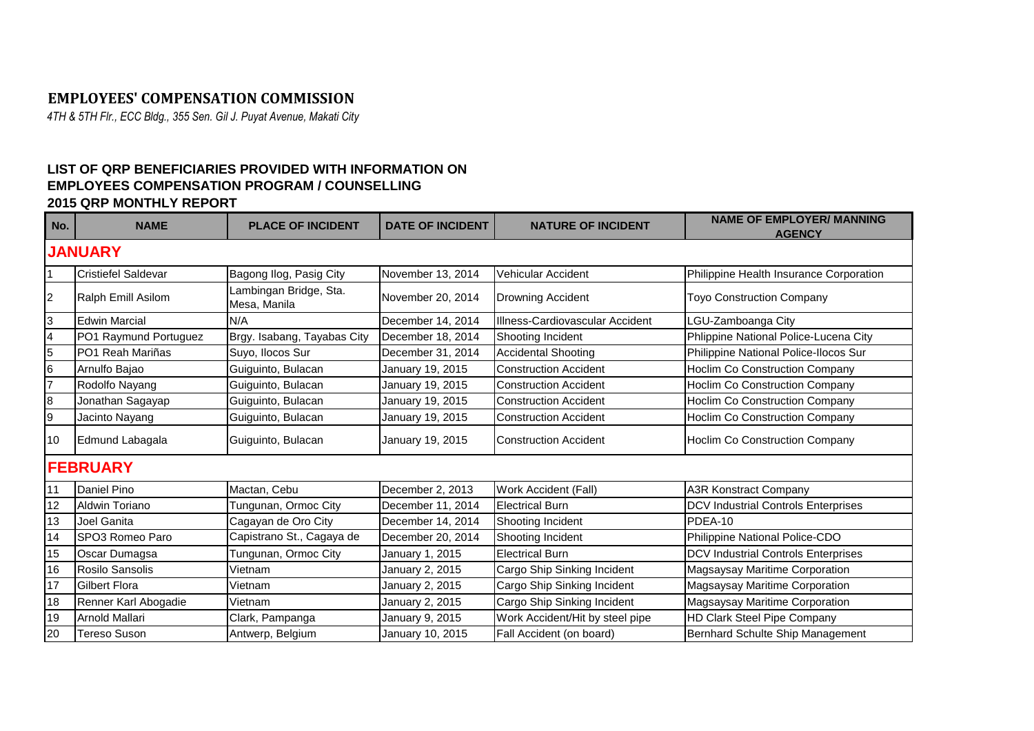## **EMPLOYEES' COMPENSATION COMMISSION**

*4TH & 5TH Flr., ECC Bldg., 355 Sen. Gil J. Puyat Avenue, Makati City*

## **LIST OF QRP BENEFICIARIES PROVIDED WITH INFORMATION ON EMPLOYEES COMPENSATION PROGRAM / COUNSELLING 2015 QRP MONTHLY REPORT**

| No. | <b>NAME</b>                | <b>PLACE OF INCIDENT</b>               | <b>DATE OF INCIDENT</b> | <b>NATURE OF INCIDENT</b>       | <b>NAME OF EMPLOYER/ MANNING</b><br><b>AGENCY</b> |  |  |  |  |  |
|-----|----------------------------|----------------------------------------|-------------------------|---------------------------------|---------------------------------------------------|--|--|--|--|--|
|     | <b>JANUARY</b>             |                                        |                         |                                 |                                                   |  |  |  |  |  |
|     | <b>Cristiefel Saldevar</b> | Bagong Ilog, Pasig City                | November 13, 2014       | Vehicular Accident              | Philippine Health Insurance Corporation           |  |  |  |  |  |
| 2   | Ralph Emill Asilom         | Lambingan Bridge, Sta.<br>Mesa, Manila | November 20, 2014       | <b>Drowning Accident</b>        | <b>Toyo Construction Company</b>                  |  |  |  |  |  |
| 3   | <b>Edwin Marcial</b>       | N/A                                    | December 14, 2014       | Illness-Cardiovascular Accident | LGU-Zamboanga City                                |  |  |  |  |  |
| 4   | PO1 Raymund Portuguez      | Brgy. Isabang, Tayabas City            | December 18, 2014       | Shooting Incident               | Phlippine National Police-Lucena City             |  |  |  |  |  |
| 5   | PO1 Reah Mariñas           | Suyo, Ilocos Sur                       | December 31, 2014       | <b>Accidental Shooting</b>      | Philippine National Police-Ilocos Sur             |  |  |  |  |  |
| 6   | Arnulfo Bajao              | Guiguinto, Bulacan                     | January 19, 2015        | <b>Construction Accident</b>    | <b>Hoclim Co Construction Company</b>             |  |  |  |  |  |
| 7   | Rodolfo Nayang             | Guiguinto, Bulacan                     | January 19, 2015        | <b>Construction Accident</b>    | <b>Hoclim Co Construction Company</b>             |  |  |  |  |  |
| 8   | Jonathan Sagayap           | Guiguinto, Bulacan                     | January 19, 2015        | <b>Construction Accident</b>    | Hoclim Co Construction Company                    |  |  |  |  |  |
| 9   | Jacinto Nayang             | Guiguinto, Bulacan                     | January 19, 2015        | <b>Construction Accident</b>    | Hoclim Co Construction Company                    |  |  |  |  |  |
| 10  | Edmund Labagala            | Guiguinto, Bulacan                     | January 19, 2015        | <b>Construction Accident</b>    | <b>Hoclim Co Construction Company</b>             |  |  |  |  |  |
|     | <b>FEBRUARY</b>            |                                        |                         |                                 |                                                   |  |  |  |  |  |
| 11  | Daniel Pino                | Mactan, Cebu                           | December 2, 2013        | Work Accident (Fall)            | <b>A3R Konstract Company</b>                      |  |  |  |  |  |
| 12  | Aldwin Toriano             | Tungunan, Ormoc City                   | December 11, 2014       | <b>Electrical Burn</b>          | <b>DCV Industrial Controls Enterprises</b>        |  |  |  |  |  |
| 13  | Joel Ganita                | Cagayan de Oro City                    | December 14, 2014       | Shooting Incident               | PDEA-10                                           |  |  |  |  |  |
| 14  | SPO3 Romeo Paro            | Capistrano St., Cagaya de              | December 20, 2014       | Shooting Incident               | Philippine National Police-CDO                    |  |  |  |  |  |
| 15  | Oscar Dumagsa              | Tungunan, Ormoc City                   | January 1, 2015         | <b>Electrical Burn</b>          | <b>DCV Industrial Controls Enterprises</b>        |  |  |  |  |  |
| 16  | Rosilo Sansolis            | Vietnam                                | January 2, 2015         | Cargo Ship Sinking Incident     | Magsaysay Maritime Corporation                    |  |  |  |  |  |
| 17  | <b>Gilbert Flora</b>       | Vietnam                                | January 2, 2015         | Cargo Ship Sinking Incident     | Magsaysay Maritime Corporation                    |  |  |  |  |  |
| 18  | Renner Karl Abogadie       | Vietnam                                | January 2, 2015         | Cargo Ship Sinking Incident     | Magsaysay Maritime Corporation                    |  |  |  |  |  |
| 19  | Arnold Mallari             | Clark, Pampanga                        | January 9, 2015         | Work Accident/Hit by steel pipe | HD Clark Steel Pipe Company                       |  |  |  |  |  |
| 20  | Tereso Suson               | Antwerp, Belgium                       | January 10, 2015        | Fall Accident (on board)        | Bernhard Schulte Ship Management                  |  |  |  |  |  |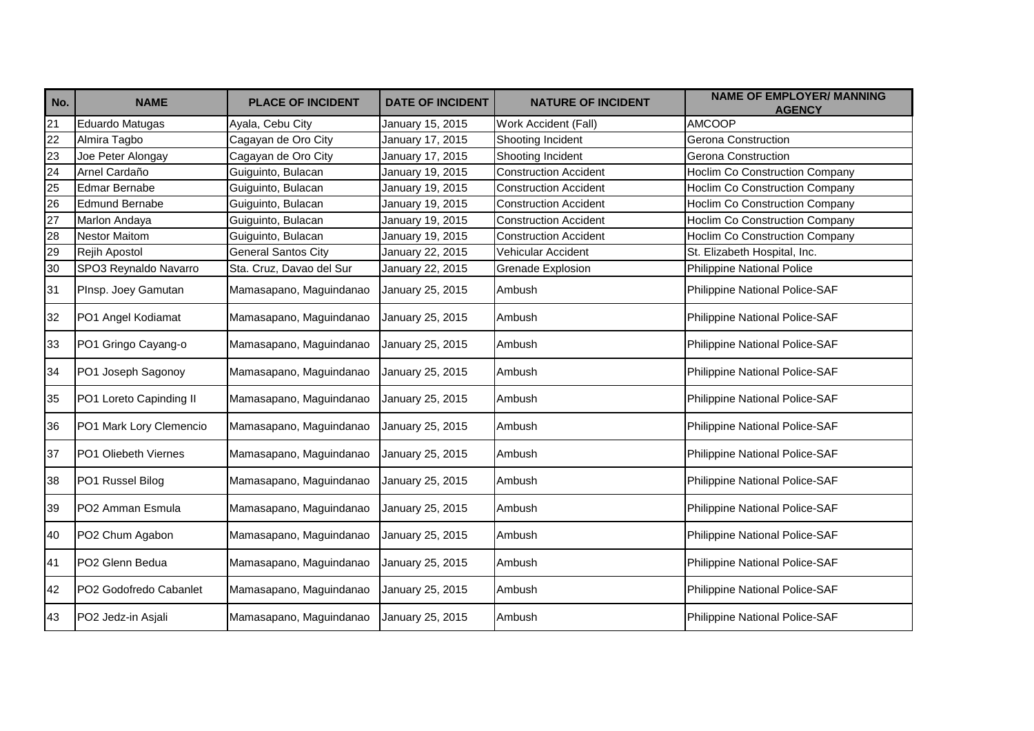| No.             | <b>NAME</b>                 | <b>PLACE OF INCIDENT</b>   | <b>DATE OF INCIDENT</b> | <b>NATURE OF INCIDENT</b>    | <b>NAME OF EMPLOYER/ MANNING</b><br><b>AGENCY</b> |
|-----------------|-----------------------------|----------------------------|-------------------------|------------------------------|---------------------------------------------------|
| 21              | Eduardo Matugas             | Ayala, Cebu City           | January 15, 2015        | Work Accident (Fall)         | <b>AMCOOP</b>                                     |
| $\overline{22}$ | Almira Tagbo                | Cagayan de Oro City        | January 17, 2015        | Shooting Incident            | Gerona Construction                               |
| 23              | Joe Peter Alongay           | Cagayan de Oro City        | January 17, 2015        | Shooting Incident            | <b>Gerona Construction</b>                        |
| $\overline{24}$ | Arnel Cardaño               | Guiguinto, Bulacan         | January 19, 2015        | <b>Construction Accident</b> | <b>Hoclim Co Construction Company</b>             |
| 25              | <b>Edmar Bernabe</b>        | Guiguinto, Bulacan         | January 19, 2015        | <b>Construction Accident</b> | Hoclim Co Construction Company                    |
| 26              | Edmund Bernabe              | Guiguinto, Bulacan         | January 19, 2015        | <b>Construction Accident</b> | <b>Hoclim Co Construction Company</b>             |
| 27              | Marlon Andaya               | Guiguinto, Bulacan         | January 19, 2015        | <b>Construction Accident</b> | <b>Hoclim Co Construction Company</b>             |
| 28              | <b>Nestor Maitom</b>        | Guiguinto, Bulacan         | January 19, 2015        | <b>Construction Accident</b> | <b>Hoclim Co Construction Company</b>             |
| 29              | Rejih Apostol               | <b>General Santos City</b> | January 22, 2015        | Vehicular Accident           | St. Elizabeth Hospital, Inc.                      |
| 30              | SPO3 Reynaldo Navarro       | Sta. Cruz, Davao del Sur   | January 22, 2015        | <b>Grenade Explosion</b>     | Philippine National Police                        |
| 31              | PInsp. Joey Gamutan         | Mamasapano, Maguindanao    | January 25, 2015        | Ambush                       | Philippine National Police-SAF                    |
| 32              | PO1 Angel Kodiamat          | Mamasapano, Maguindanao    | January 25, 2015        | Ambush                       | Philippine National Police-SAF                    |
| 33              | PO1 Gringo Cayang-o         | Mamasapano, Maguindanao    | January 25, 2015        | Ambush                       | Philippine National Police-SAF                    |
| 34              | PO1 Joseph Sagonoy          | Mamasapano, Maguindanao    | January 25, 2015        | Ambush                       | Philippine National Police-SAF                    |
| 35              | PO1 Loreto Capinding II     | Mamasapano, Maguindanao    | January 25, 2015        | Ambush                       | Philippine National Police-SAF                    |
| 36              | PO1 Mark Lory Clemencio     | Mamasapano, Maguindanao    | January 25, 2015        | Ambush                       | Philippine National Police-SAF                    |
| 37              | PO1 Oliebeth Viernes        | Mamasapano, Maguindanao    | January 25, 2015        | Ambush                       | Philippine National Police-SAF                    |
| 38              | PO1 Russel Bilog            | Mamasapano, Maguindanao    | January 25, 2015        | Ambush                       | Philippine National Police-SAF                    |
| 39              | PO2 Amman Esmula            | Mamasapano, Maguindanao    | January 25, 2015        | Ambush                       | Philippine National Police-SAF                    |
| 40              | PO2 Chum Agabon             | Mamasapano, Maguindanao    | January 25, 2015        | Ambush                       | Philippine National Police-SAF                    |
| 41              | PO <sub>2</sub> Glenn Bedua | Mamasapano, Maguindanao    | January 25, 2015        | Ambush                       | Philippine National Police-SAF                    |
| 42              | PO2 Godofredo Cabanlet      | Mamasapano, Maguindanao    | January 25, 2015        | Ambush                       | Philippine National Police-SAF                    |
| 43              | PO2 Jedz-in Asjali          | Mamasapano, Maguindanao    | January 25, 2015        | Ambush                       | Philippine National Police-SAF                    |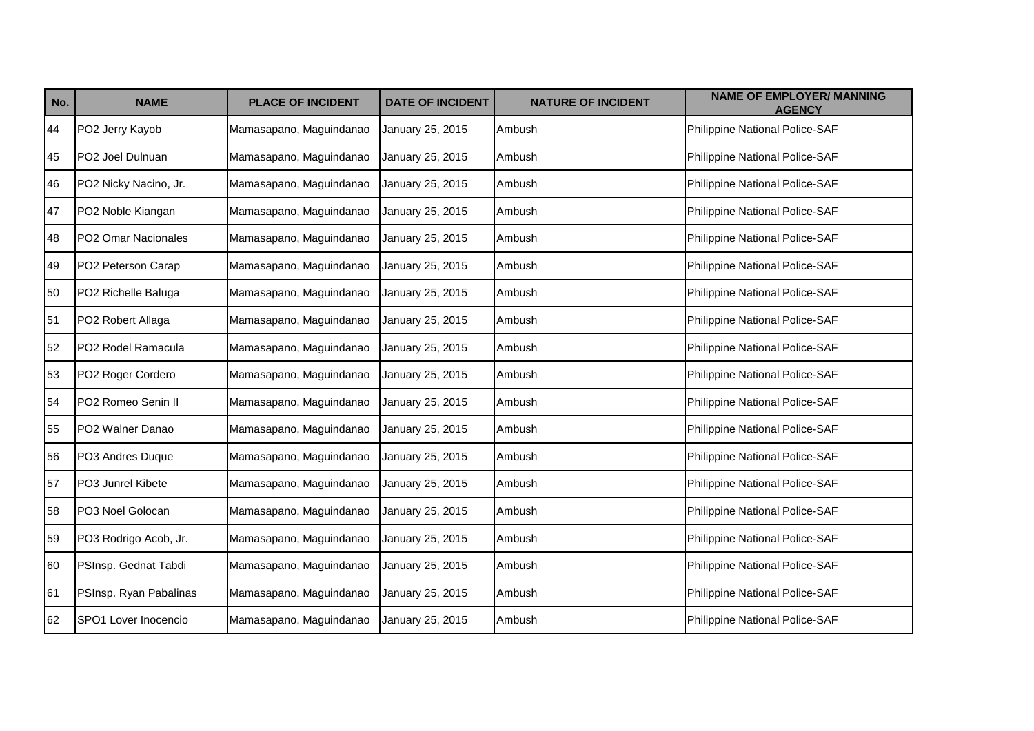| No. | <b>NAME</b>            | <b>PLACE OF INCIDENT</b> | <b>DATE OF INCIDENT</b> | <b>NATURE OF INCIDENT</b> | <b>NAME OF EMPLOYER/ MANNING</b><br><b>AGENCY</b> |
|-----|------------------------|--------------------------|-------------------------|---------------------------|---------------------------------------------------|
| 44  | PO2 Jerry Kayob        | Mamasapano, Maguindanao  | January 25, 2015        | Ambush                    | Philippine National Police-SAF                    |
| 45  | PO2 Joel Dulnuan       | Mamasapano, Maguindanao  | January 25, 2015        | Ambush                    | Philippine National Police-SAF                    |
| 46  | PO2 Nicky Nacino, Jr.  | Mamasapano, Maguindanao  | January 25, 2015        | Ambush                    | Philippine National Police-SAF                    |
| 47  | PO2 Noble Kiangan      | Mamasapano, Maguindanao  | January 25, 2015        | Ambush                    | Philippine National Police-SAF                    |
| 48  | PO2 Omar Nacionales    | Mamasapano, Maguindanao  | January 25, 2015        | Ambush                    | Philippine National Police-SAF                    |
| 49  | PO2 Peterson Carap     | Mamasapano, Maguindanao  | January 25, 2015        | Ambush                    | Philippine National Police-SAF                    |
| 50  | PO2 Richelle Baluga    | Mamasapano, Maguindanao  | January 25, 2015        | Ambush                    | Philippine National Police-SAF                    |
| 51  | PO2 Robert Allaga      | Mamasapano, Maguindanao  | January 25, 2015        | Ambush                    | Philippine National Police-SAF                    |
| 52  | PO2 Rodel Ramacula     | Mamasapano, Maguindanao  | January 25, 2015        | Ambush                    | Philippine National Police-SAF                    |
| 53  | PO2 Roger Cordero      | Mamasapano, Maguindanao  | January 25, 2015        | Ambush                    | Philippine National Police-SAF                    |
| 54  | PO2 Romeo Senin II     | Mamasapano, Maguindanao  | January 25, 2015        | Ambush                    | Philippine National Police-SAF                    |
| 55  | PO2 Walner Danao       | Mamasapano, Maguindanao  | January 25, 2015        | Ambush                    | Philippine National Police-SAF                    |
| 56  | PO3 Andres Duque       | Mamasapano, Maguindanao  | January 25, 2015        | Ambush                    | Philippine National Police-SAF                    |
| 57  | PO3 Junrel Kibete      | Mamasapano, Maguindanao  | January 25, 2015        | Ambush                    | Philippine National Police-SAF                    |
| 58  | PO3 Noel Golocan       | Mamasapano, Maguindanao  | January 25, 2015        | Ambush                    | Philippine National Police-SAF                    |
| 59  | PO3 Rodrigo Acob, Jr.  | Mamasapano, Maguindanao  | January 25, 2015        | Ambush                    | Philippine National Police-SAF                    |
| 60  | PSInsp. Gednat Tabdi   | Mamasapano, Maguindanao  | January 25, 2015        | Ambush                    | Philippine National Police-SAF                    |
| 61  | PSInsp. Ryan Pabalinas | Mamasapano, Maguindanao  | January 25, 2015        | Ambush                    | Philippine National Police-SAF                    |
| 62  | SPO1 Lover Inocencio   | Mamasapano, Maguindanao  | January 25, 2015        | Ambush                    | Philippine National Police-SAF                    |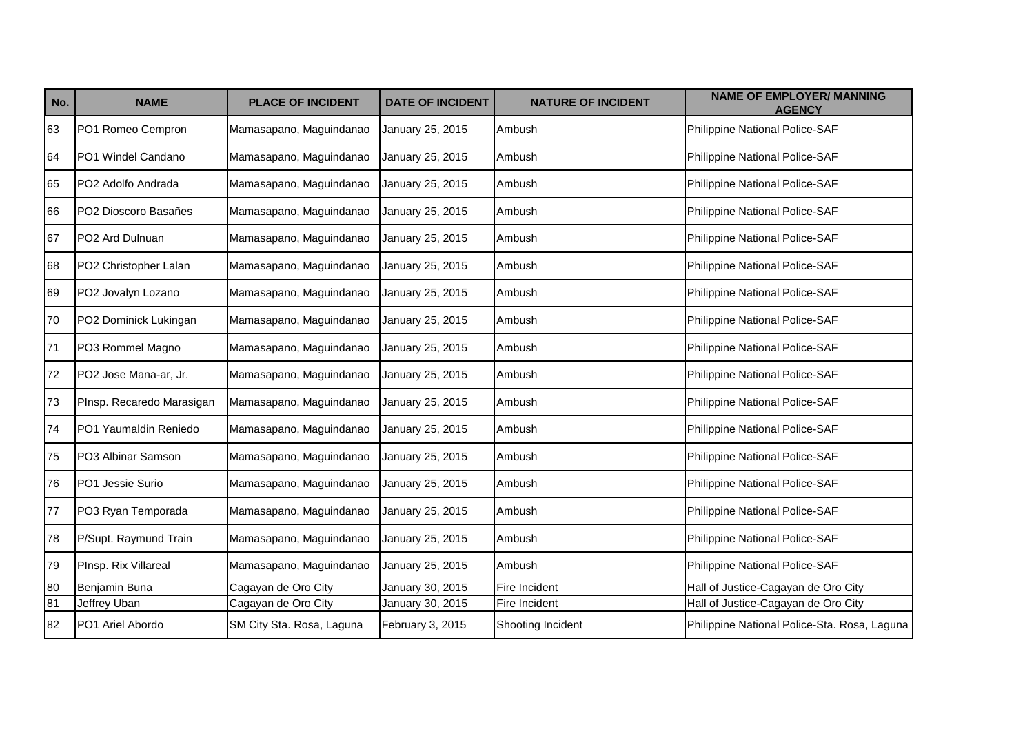| No. | <b>NAME</b>               | <b>PLACE OF INCIDENT</b>  | <b>DATE OF INCIDENT</b> | <b>NATURE OF INCIDENT</b> | <b>NAME OF EMPLOYER/ MANNING</b><br><b>AGENCY</b> |
|-----|---------------------------|---------------------------|-------------------------|---------------------------|---------------------------------------------------|
| 63  | PO1 Romeo Cempron         | Mamasapano, Maguindanao   | January 25, 2015        | Ambush                    | Philippine National Police-SAF                    |
| 64  | PO1 Windel Candano        | Mamasapano, Maguindanao   | January 25, 2015        | Ambush                    | Philippine National Police-SAF                    |
| 65  | PO2 Adolfo Andrada        | Mamasapano, Maguindanao   | January 25, 2015        | Ambush                    | Philippine National Police-SAF                    |
| 66  | PO2 Dioscoro Basañes      | Mamasapano, Maguindanao   | January 25, 2015        | Ambush                    | Philippine National Police-SAF                    |
| 67  | PO2 Ard Dulnuan           | Mamasapano, Maguindanao   | January 25, 2015        | Ambush                    | Philippine National Police-SAF                    |
| 68  | PO2 Christopher Lalan     | Mamasapano, Maguindanao   | January 25, 2015        | Ambush                    | Philippine National Police-SAF                    |
| 69  | PO2 Jovalyn Lozano        | Mamasapano, Maguindanao   | January 25, 2015        | Ambush                    | Philippine National Police-SAF                    |
| 70  | PO2 Dominick Lukingan     | Mamasapano, Maguindanao   | January 25, 2015        | Ambush                    | Philippine National Police-SAF                    |
| 71  | PO3 Rommel Magno          | Mamasapano, Maguindanao   | January 25, 2015        | Ambush                    | Philippine National Police-SAF                    |
| 72  | PO2 Jose Mana-ar, Jr.     | Mamasapano, Maguindanao   | January 25, 2015        | Ambush                    | Philippine National Police-SAF                    |
| 73  | PInsp. Recaredo Marasigan | Mamasapano, Maguindanao   | January 25, 2015        | Ambush                    | Philippine National Police-SAF                    |
| 74  | PO1 Yaumaldin Reniedo     | Mamasapano, Maguindanao   | January 25, 2015        | Ambush                    | Philippine National Police-SAF                    |
| 75  | PO3 Albinar Samson        | Mamasapano, Maguindanao   | January 25, 2015        | Ambush                    | Philippine National Police-SAF                    |
| 76  | PO1 Jessie Surio          | Mamasapano, Maguindanao   | January 25, 2015        | Ambush                    | Philippine National Police-SAF                    |
| 77  | PO3 Ryan Temporada        | Mamasapano, Maguindanao   | January 25, 2015        | Ambush                    | Philippine National Police-SAF                    |
| 78  | P/Supt. Raymund Train     | Mamasapano, Maguindanao   | January 25, 2015        | Ambush                    | Philippine National Police-SAF                    |
| 79  | PInsp. Rix Villareal      | Mamasapano, Maguindanao   | January 25, 2015        | Ambush                    | Philippine National Police-SAF                    |
| 80  | Benjamin Buna             | Cagayan de Oro City       | January 30, 2015        | Fire Incident             | Hall of Justice-Cagayan de Oro City               |
| 81  | Jeffrey Uban              | Cagayan de Oro City       | January 30, 2015        | Fire Incident             | Hall of Justice-Cagayan de Oro City               |
| 82  | PO1 Ariel Abordo          | SM City Sta. Rosa, Laguna | February 3, 2015        | Shooting Incident         | Philippine National Police-Sta. Rosa, Laguna      |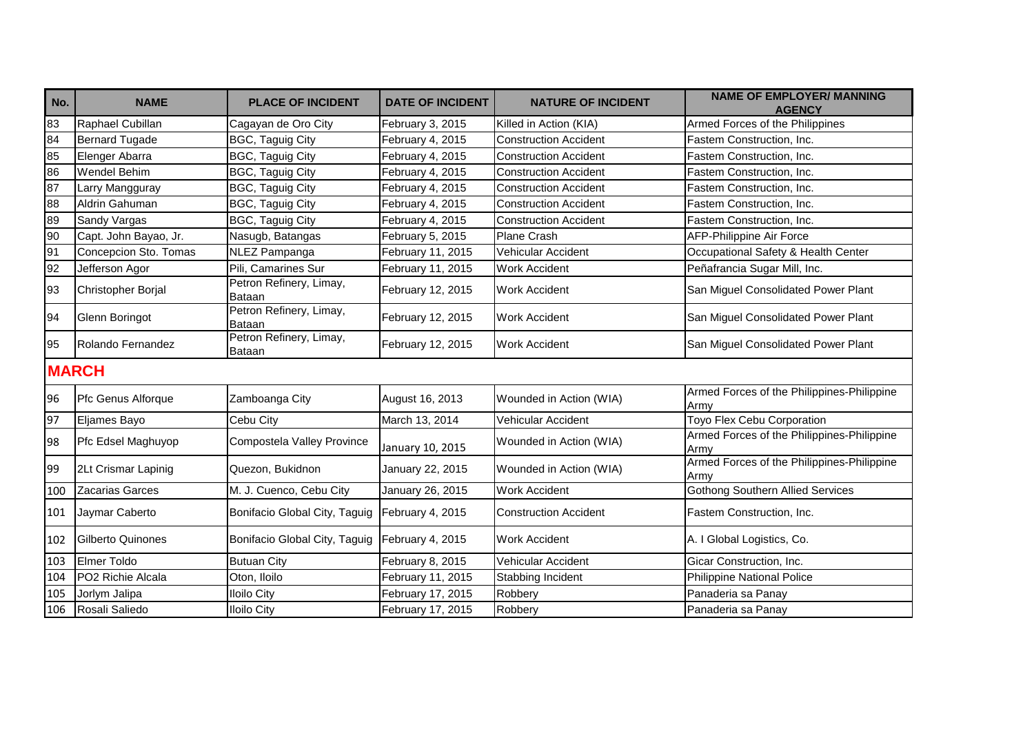| No. | <b>NAME</b>            | <b>PLACE OF INCIDENT</b>          | <b>DATE OF INCIDENT</b> | <b>NATURE OF INCIDENT</b>    | <b>NAME OF EMPLOYER/ MANNING</b><br><b>AGENCY</b>  |
|-----|------------------------|-----------------------------------|-------------------------|------------------------------|----------------------------------------------------|
| 83  | Raphael Cubillan       | Cagayan de Oro City               | February 3, 2015        | Killed in Action (KIA)       | Armed Forces of the Philippines                    |
| 84  | <b>Bernard Tugade</b>  | BGC, Taguig City                  | February 4, 2015        | <b>Construction Accident</b> | Fastem Construction, Inc.                          |
| 85  | Elenger Abarra         | BGC, Taguig City                  | February 4, 2015        | <b>Construction Accident</b> | Fastem Construction, Inc.                          |
| 86  | <b>Wendel Behim</b>    | <b>BGC, Taguig City</b>           | February 4, 2015        | <b>Construction Accident</b> | Fastem Construction, Inc.                          |
| 87  | Larry Mangguray        | BGC, Taguig City                  | February 4, 2015        | <b>Construction Accident</b> | Fastem Construction, Inc.                          |
| 88  | Aldrin Gahuman         | <b>BGC, Taguig City</b>           | February 4, 2015        | <b>Construction Accident</b> | Fastem Construction, Inc.                          |
| 89  | Sandy Vargas           | <b>BGC, Taguig City</b>           | February 4, 2015        | <b>Construction Accident</b> | Fastem Construction, Inc.                          |
| 90  | Capt. John Bayao, Jr.  | Nasugb, Batangas                  | February 5, 2015        | Plane Crash                  | AFP-Philippine Air Force                           |
| 91  | Concepcion Sto. Tomas  | NLEZ Pampanga                     | February 11, 2015       | Vehicular Accident           | Occupational Safety & Health Center                |
| 92  | Jefferson Agor         | Pili, Camarines Sur               | February 11, 2015       | <b>Work Accident</b>         | Peñafrancia Sugar Mill, Inc.                       |
| 93  | Christopher Borjal     | Petron Refinery, Limay,<br>Bataan | February 12, 2015       | <b>Work Accident</b>         | San Miguel Consolidated Power Plant                |
| 94  | Glenn Boringot         | Petron Refinery, Limay,<br>Bataan | February 12, 2015       | <b>Work Accident</b>         | San Miguel Consolidated Power Plant                |
| 95  | Rolando Fernandez      | Petron Refinery, Limay,<br>Bataan | February 12, 2015       | <b>Work Accident</b>         | San Miguel Consolidated Power Plant                |
|     | <b>MARCH</b>           |                                   |                         |                              |                                                    |
| 96  | Pfc Genus Alforque     | Zamboanga City                    | August 16, 2013         | Wounded in Action (WIA)      | Armed Forces of the Philippines-Philippine<br>Armv |
| 97  | Eljames Bayo           | Cebu City                         | March 13, 2014          | <b>Vehicular Accident</b>    | Toyo Flex Cebu Corporation                         |
| 98  | Pfc Edsel Maghuyop     | Compostela Valley Province        | January 10, 2015        | Wounded in Action (WIA)      | Armed Forces of the Philippines-Philippine<br>Army |
| 99  | 2Lt Crismar Lapinig    | Quezon, Bukidnon                  | January 22, 2015        | Wounded in Action (WIA)      | Armed Forces of the Philippines-Philippine<br>Armv |
| 100 | <b>Zacarias Garces</b> | M. J. Cuenco, Cebu City           | January 26, 2015        | <b>Work Accident</b>         | <b>Gothong Southern Allied Services</b>            |
| 101 | Jaymar Caberto         | Bonifacio Global City, Taguig     | February 4, 2015        | <b>Construction Accident</b> | Fastem Construction, Inc.                          |
| 102 | Gilberto Quinones      | Bonifacio Global City, Taguig     | February 4, 2015        | <b>Work Accident</b>         | A. I Global Logistics, Co.                         |
| 103 | Elmer Toldo            | <b>Butuan City</b>                | February 8, 2015        | Vehicular Accident           | Gicar Construction, Inc.                           |
| 104 | PO2 Richie Alcala      | Oton, Iloilo                      | February 11, 2015       | Stabbing Incident            | <b>Philippine National Police</b>                  |
| 105 | Jorlym Jalipa          | <b>Iloilo City</b>                | February 17, 2015       | Robbery                      | Panaderia sa Panay                                 |
| 106 | Rosali Saliedo         | <b>Iloilo City</b>                | February 17, 2015       | Robbery                      | Panaderia sa Panay                                 |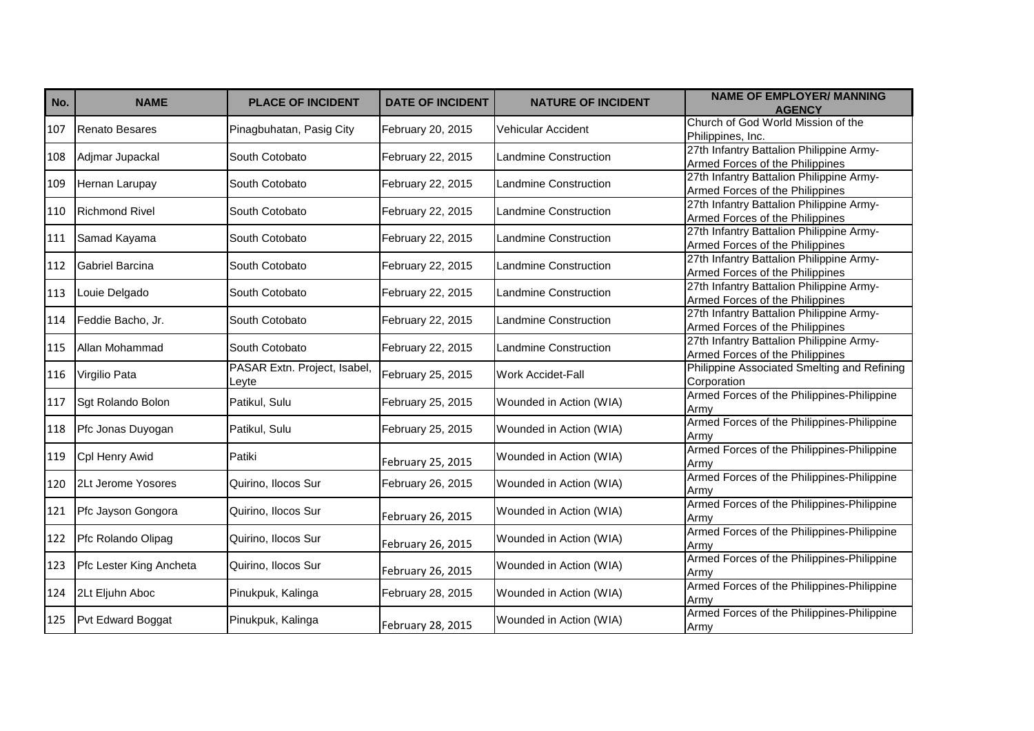| No. | <b>NAME</b>             | <b>PLACE OF INCIDENT</b>              | <b>DATE OF INCIDENT</b> | <b>NATURE OF INCIDENT</b>    | <b>NAME OF EMPLOYER/ MANNING</b><br><b>AGENCY</b>                           |
|-----|-------------------------|---------------------------------------|-------------------------|------------------------------|-----------------------------------------------------------------------------|
| 107 | <b>Renato Besares</b>   | Pinagbuhatan, Pasig City              | February 20, 2015       | Vehicular Accident           | Church of God World Mission of the<br>Philippines, Inc.                     |
| 108 | Adjmar Jupackal         | South Cotobato                        | February 22, 2015       | <b>Landmine Construction</b> | 27th Infantry Battalion Philippine Army-<br>Armed Forces of the Philippines |
| 109 | Hernan Larupay          | South Cotobato                        | February 22, 2015       | <b>Landmine Construction</b> | 27th Infantry Battalion Philippine Army-<br>Armed Forces of the Philippines |
| 110 | <b>Richmond Rivel</b>   | South Cotobato                        | February 22, 2015       | <b>Landmine Construction</b> | 27th Infantry Battalion Philippine Army-<br>Armed Forces of the Philippines |
| 111 | Samad Kayama            | South Cotobato                        | February 22, 2015       | Landmine Construction        | 27th Infantry Battalion Philippine Army-<br>Armed Forces of the Philippines |
| 112 | Gabriel Barcina         | South Cotobato                        | February 22, 2015       | <b>Landmine Construction</b> | 27th Infantry Battalion Philippine Army-<br>Armed Forces of the Philippines |
| 113 | Louie Delgado           | South Cotobato                        | February 22, 2015       | Landmine Construction        | 27th Infantry Battalion Philippine Army-<br>Armed Forces of the Philippines |
| 114 | Feddie Bacho, Jr.       | South Cotobato                        | February 22, 2015       | <b>Landmine Construction</b> | 27th Infantry Battalion Philippine Army-<br>Armed Forces of the Philippines |
| 115 | Allan Mohammad          | South Cotobato                        | February 22, 2015       | <b>Landmine Construction</b> | 27th Infantry Battalion Philippine Army-<br>Armed Forces of the Philippines |
| 116 | Virgilio Pata           | PASAR Extn. Project, Isabel,<br>Levte | February 25, 2015       | <b>Work Accidet-Fall</b>     | Philippine Associated Smelting and Refining<br>Corporation                  |
| 117 | Sgt Rolando Bolon       | Patikul, Sulu                         | February 25, 2015       | Wounded in Action (WIA)      | Armed Forces of the Philippines-Philippine<br>Army                          |
| 118 | Pfc Jonas Duyogan       | Patikul, Sulu                         | February 25, 2015       | Wounded in Action (WIA)      | Armed Forces of the Philippines-Philippine<br>Armv                          |
| 119 | Cpl Henry Awid          | Patiki                                | February 25, 2015       | Wounded in Action (WIA)      | Armed Forces of the Philippines-Philippine<br>Armv                          |
| 120 | 2Lt Jerome Yosores      | Quirino. Ilocos Sur                   | February 26, 2015       | Wounded in Action (WIA)      | Armed Forces of the Philippines-Philippine<br>Armv                          |
| 121 | Pfc Jayson Gongora      | Quirino, Ilocos Sur                   | February 26, 2015       | Wounded in Action (WIA)      | Armed Forces of the Philippines-Philippine<br>Army                          |
| 122 | Pfc Rolando Olipag      | Quirino, Ilocos Sur                   | February 26, 2015       | Wounded in Action (WIA)      | Armed Forces of the Philippines-Philippine<br>Army                          |
| 123 | Pfc Lester King Ancheta | Quirino, Ilocos Sur                   | February 26, 2015       | Wounded in Action (WIA)      | Armed Forces of the Philippines-Philippine<br>Army                          |
| 124 | 2Lt Eljuhn Aboc         | Pinukpuk, Kalinga                     | February 28, 2015       | Wounded in Action (WIA)      | Armed Forces of the Philippines-Philippine<br>Army                          |
| 125 | Pvt Edward Boggat       | Pinukpuk, Kalinga                     | February 28, 2015       | Wounded in Action (WIA)      | Armed Forces of the Philippines-Philippine<br>Army                          |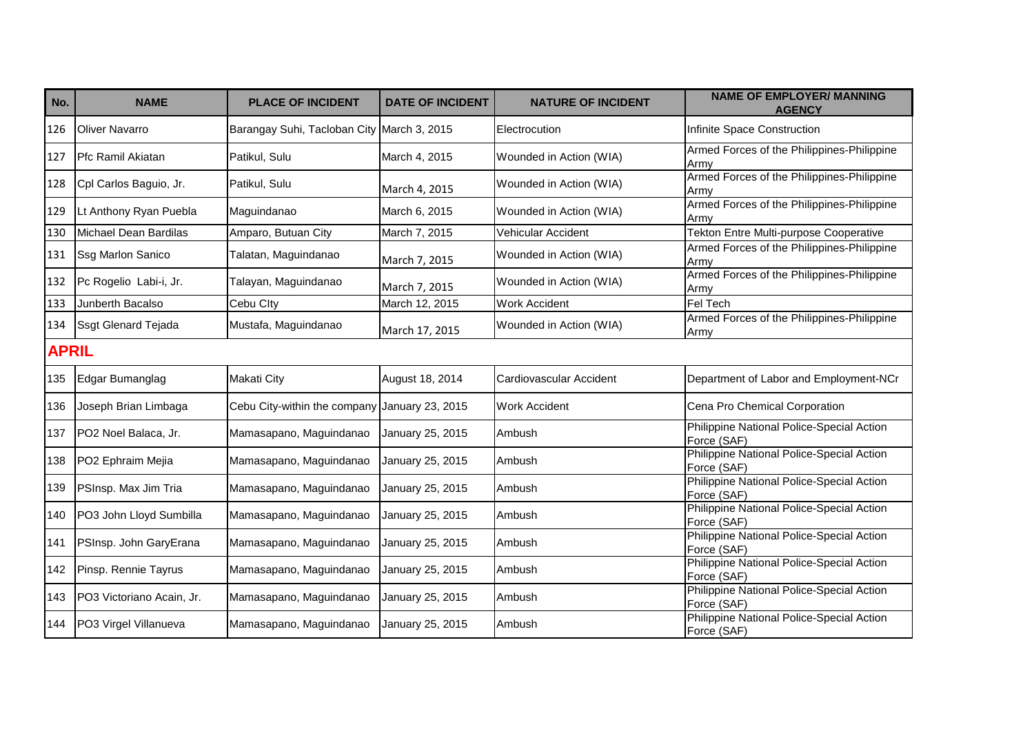| No.          | <b>NAME</b>                | <b>PLACE OF INCIDENT</b>                   | <b>DATE OF INCIDENT</b> | <b>NATURE OF INCIDENT</b> | <b>NAME OF EMPLOYER/ MANNING</b><br><b>AGENCY</b>        |
|--------------|----------------------------|--------------------------------------------|-------------------------|---------------------------|----------------------------------------------------------|
| 126          | <b>Oliver Navarro</b>      | Barangay Suhi, Tacloban City March 3, 2015 |                         | Electrocution             | Infinite Space Construction                              |
| 127          | <b>Pfc Ramil Akiatan</b>   | Patikul, Sulu                              | March 4, 2015           | Wounded in Action (WIA)   | Armed Forces of the Philippines-Philippine<br>Army       |
| 128          | Cpl Carlos Baguio, Jr.     | Patikul, Sulu                              | March 4, 2015           | Wounded in Action (WIA)   | Armed Forces of the Philippines-Philippine<br>Army       |
| 129          | Lt Anthony Ryan Puebla     | Maguindanao                                | March 6, 2015           | Wounded in Action (WIA)   | Armed Forces of the Philippines-Philippine<br>Army       |
| 130          | Michael Dean Bardilas      | Amparo, Butuan City                        | March 7, 2015           | <b>Vehicular Accident</b> | <b>Tekton Entre Multi-purpose Cooperative</b>            |
| 131          | Ssg Marlon Sanico          | Talatan, Maguindanao                       | March 7, 2015           | Wounded in Action (WIA)   | Armed Forces of the Philippines-Philippine<br>Army       |
| 132          | Pc Rogelio Labi-i, Jr.     | Talayan, Maguindanao                       | March 7, 2015           | Wounded in Action (WIA)   | Armed Forces of the Philippines-Philippine<br>Army       |
| 133          | Junberth Bacalso           | Cebu Clty                                  | March 12, 2015          | <b>Work Accident</b>      | Fel Tech                                                 |
| 134          | <b>Ssgt Glenard Tejada</b> | Mustafa, Maguindanao                       | March 17, 2015          | Wounded in Action (WIA)   | Armed Forces of the Philippines-Philippine<br>Army       |
| <b>APRIL</b> |                            |                                            |                         |                           |                                                          |
| 135          | Edgar Bumanglag            | Makati City                                | August 18, 2014         | Cardiovascular Accident   | Department of Labor and Employment-NCr                   |
| 136          | Joseph Brian Limbaga       | Cebu City-within the company               | January 23, 2015        | <b>Work Accident</b>      | Cena Pro Chemical Corporation                            |
| 137          | PO2 Noel Balaca, Jr.       | Mamasapano, Maguindanao                    | January 25, 2015        | Ambush                    | Philippine National Police-Special Action<br>Force (SAF) |
| 138          | PO2 Ephraim Mejia          | Mamasapano, Maguindanao                    | January 25, 2015        | Ambush                    | Philippine National Police-Special Action<br>Force (SAF) |
| 139          | PSInsp. Max Jim Tria       | Mamasapano, Maguindanao                    | January 25, 2015        | Ambush                    | Philippine National Police-Special Action<br>Force (SAF) |
| 140          | PO3 John Lloyd Sumbilla    | Mamasapano, Maguindanao                    | January 25, 2015        | Ambush                    | Philippine National Police-Special Action<br>Force (SAF) |
| 141          | PSInsp. John GaryErana     | Mamasapano, Maguindanao                    | January 25, 2015        | Ambush                    | Philippine National Police-Special Action<br>Force (SAF) |
| 142          | Pinsp. Rennie Tayrus       | Mamasapano, Maguindanao                    | January 25, 2015        | Ambush                    | Philippine National Police-Special Action<br>Force (SAF) |
| 143          | PO3 Victoriano Acain, Jr.  | Mamasapano, Maguindanao                    | January 25, 2015        | Ambush                    | Philippine National Police-Special Action<br>Force (SAF) |
| 144          | PO3 Virgel Villanueva      | Mamasapano, Maguindanao                    | January 25, 2015        | Ambush                    | Philippine National Police-Special Action<br>Force (SAF) |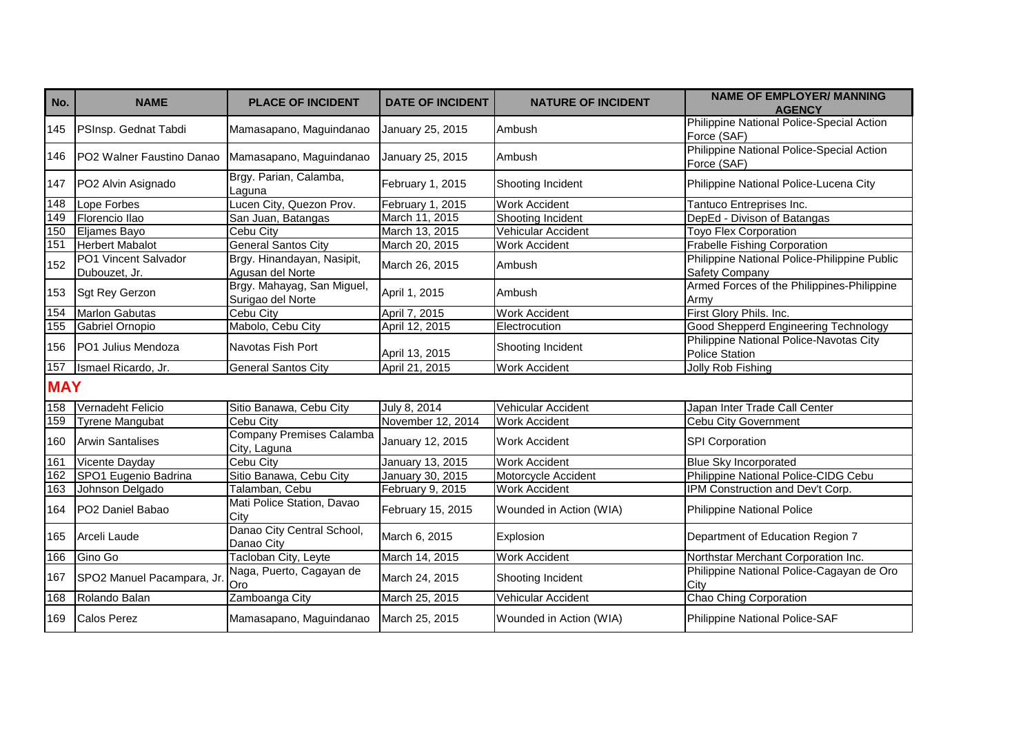| No.        | <b>NAME</b>                           | <b>PLACE OF INCIDENT</b>                        | <b>DATE OF INCIDENT</b> | <b>NATURE OF INCIDENT</b> | <b>NAME OF EMPLOYER/ MANNING</b><br><b>AGENCY</b>                |
|------------|---------------------------------------|-------------------------------------------------|-------------------------|---------------------------|------------------------------------------------------------------|
| 145        | PSInsp. Gednat Tabdi                  | Mamasapano, Maguindanao                         | January 25, 2015        | Ambush                    | Philippine National Police-Special Action<br>Force (SAF)         |
| 146        | PO2 Walner Faustino Danao             | Mamasapano, Maguindanao                         | January 25, 2015        | Ambush                    | Philippine National Police-Special Action<br>Force (SAF)         |
| 147        | PO2 Alvin Asignado                    | Brgy. Parian, Calamba,<br>Laguna                | February 1, 2015        | Shooting Incident         | Philippine National Police-Lucena City                           |
| 148        | Lope Forbes                           | Lucen City, Quezon Prov.                        | February 1, 2015        | <b>Work Accident</b>      | Tantuco Entreprises Inc.                                         |
| 149        | Florencio llao                        | San Juan, Batangas                              | March 11, 2015          | Shooting Incident         | DepEd - Divison of Batangas                                      |
| 150        | Eljames Bayo                          | Cebu City                                       | March 13, 2015          | Vehicular Accident        | <b>Toyo Flex Corporation</b>                                     |
| 151        | <b>Herbert Mabalot</b>                | <b>General Santos City</b>                      | March 20, 2015          | Work Accident             | <b>Frabelle Fishing Corporation</b>                              |
| 152        | PO1 Vincent Salvador<br>Dubouzet, Jr. | Brgy. Hinandayan, Nasipit,<br>Agusan del Norte  | March 26, 2015          | Ambush                    | Philippine National Police-Philippine Public<br>Safety Company   |
| 153        | <b>Sgt Rey Gerzon</b>                 | Brgy. Mahayag, San Miguel,<br>Surigao del Norte | April 1, 2015           | Ambush                    | Armed Forces of the Philippines-Philippine<br>Army               |
| 154        | <b>Marlon Gabutas</b>                 | <b>Cebu City</b>                                | April 7, 2015           | <b>Work Accident</b>      | First Glory Phils. Inc.                                          |
| 155        | <b>Gabriel Ornopio</b>                | Mabolo, Cebu City                               | April 12, 2015          | Electrocution             | <b>Good Shepperd Engineering Technology</b>                      |
| 156        | PO1 Julius Mendoza                    | Navotas Fish Port                               | April 13, 2015          | Shooting Incident         | Philippine National Police-Navotas City<br><b>Police Station</b> |
| 157        | Ismael Ricardo, Jr.                   | <b>General Santos City</b>                      | April 21, 2015          | <b>Work Accident</b>      | Jolly Rob Fishing                                                |
| <b>MAY</b> |                                       |                                                 |                         |                           |                                                                  |
| 158        | Vernadeht Felicio                     | Sitio Banawa, Cebu City                         | July 8, 2014            | Vehicular Accident        | Japan Inter Trade Call Center                                    |
| 159        | <b>Tyrene Mangubat</b>                | Cebu City                                       | November 12, 2014       | <b>Work Accident</b>      | <b>Cebu City Government</b>                                      |
| 160        | <b>Arwin Santalises</b>               | Company Premises Calamba<br>City, Laguna        | January 12, 2015        | <b>Work Accident</b>      | SPI Corporation                                                  |
| 161        | Vicente Dayday                        | Cebu City                                       | <b>January 13, 2015</b> | <b>Work Accident</b>      | <b>Blue Sky Incorporated</b>                                     |
| 162        | SPO1 Eugenio Badrina                  | Sitio Banawa, Cebu City                         | January 30, 2015        | Motorcycle Accident       | Philippine National Police-CIDG Cebu                             |
| 163        | Johnson Delgado                       | Talamban, Cebu                                  | February 9, 2015        | <b>Work Accident</b>      | IPM Construction and Dev't Corp.                                 |
| 164        | PO2 Daniel Babao                      | Mati Police Station, Davao<br>City              | February 15, 2015       | Wounded in Action (WIA)   | Philippine National Police                                       |
| 165        | Arceli Laude                          | Danao City Central School,<br>Danao City        | March 6, 2015           | Explosion                 | Department of Education Region 7                                 |
| 166        | Gino Go                               | Tacloban City, Leyte                            | March 14, 2015          | <b>Work Accident</b>      | Northstar Merchant Corporation Inc.                              |
| 167        | SPO2 Manuel Pacampara, Jr.            | Naga, Puerto, Cagayan de<br>Oro                 | March 24, 2015          | Shooting Incident         | Philippine National Police-Cagayan de Oro<br>City                |
| 168        | Rolando Balan                         | Zamboanga City                                  | March 25, 2015          | Vehicular Accident        | Chao Ching Corporation                                           |
| 169        | <b>Calos Perez</b>                    | Mamasapano, Maguindanao                         | March 25, 2015          | Wounded in Action (WIA)   | Philippine National Police-SAF                                   |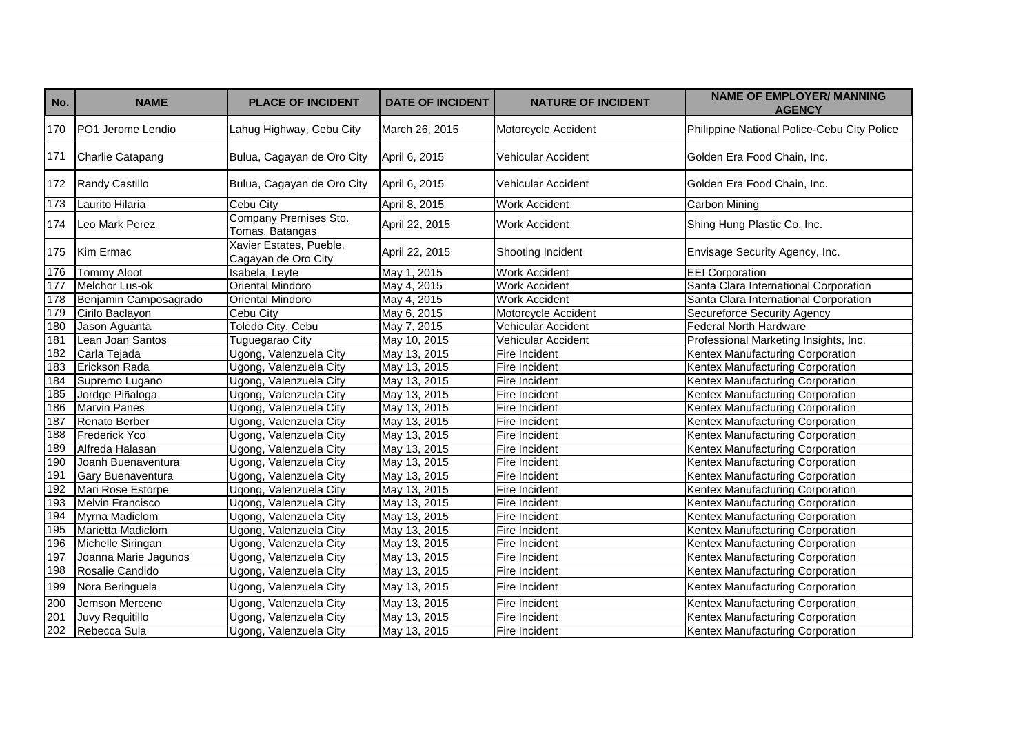| No. | <b>NAME</b>              | <b>PLACE OF INCIDENT</b>                       | <b>DATE OF INCIDENT</b> | <b>NATURE OF INCIDENT</b> | <b>NAME OF EMPLOYER/ MANNING</b><br><b>AGENCY</b> |
|-----|--------------------------|------------------------------------------------|-------------------------|---------------------------|---------------------------------------------------|
| 170 | <b>PO1 Jerome Lendio</b> | Lahug Highway, Cebu City                       | March 26, 2015          | Motorcycle Accident       | Philippine National Police-Cebu City Police       |
| 171 | <b>Charlie Catapang</b>  | Bulua, Cagayan de Oro City                     | April 6, 2015           | Vehicular Accident        | Golden Era Food Chain, Inc.                       |
| 172 | Randy Castillo           | Bulua, Cagayan de Oro City                     | April 6, 2015           | Vehicular Accident        | Golden Era Food Chain, Inc.                       |
| 173 | Laurito Hilaria          | Cebu City                                      | April 8, 2015           | Work Accident             | <b>Carbon Mining</b>                              |
| 174 | Leo Mark Perez           | Company Premises Sto.<br>Tomas, Batangas       | April 22, 2015          | <b>Work Accident</b>      | Shing Hung Plastic Co. Inc.                       |
| 175 | Kim Ermac                | Xavier Estates, Pueble,<br>Cagayan de Oro City | April 22, 2015          | Shooting Incident         | Envisage Security Agency, Inc.                    |
| 176 | <b>Tommy Aloot</b>       | Isabela, Leyte                                 | May 1, 2015             | <b>Work Accident</b>      | <b>EEI Corporation</b>                            |
| 177 | Melchor Lus-ok           | Oriental Mindoro                               | May 4, 2015             | Work Accident             | Santa Clara International Corporation             |
| 178 | Benjamin Camposagrado    | Oriental Mindoro                               | May 4, 2015             | <b>Work Accident</b>      | Santa Clara International Corporation             |
| 179 | Cirilo Baclayon          | Cebu City                                      | May 6, 2015             | Motorcycle Accident       | Secureforce Security Agency                       |
| 180 | Jason Aguanta            | Toledo City, Cebu                              | May 7, 2015             | Vehicular Accident        | Federal North Hardware                            |
| 181 | Lean Joan Santos         | Tuguegarao City                                | May 10, 2015            | Vehicular Accident        | Professional Marketing Insights, Inc.             |
| 182 | Carla Tejada             | Ugong, Valenzuela City                         | May 13, 2015            | Fire Incident             | Kentex Manufacturing Corporation                  |
| 183 | Erickson Rada            | Ugong, Valenzuela City                         | May 13, 2015            | Fire Incident             | Kentex Manufacturing Corporation                  |
| 184 | Supremo Lugano           | Ugong, Valenzuela City                         | May 13, 2015            | Fire Incident             | Kentex Manufacturing Corporation                  |
| 185 | Jordge Piñaloga          | Ugong, Valenzuela City                         | May 13, 2015            | Fire Incident             | Kentex Manufacturing Corporation                  |
| 186 | <b>Marvin Panes</b>      | Ugong, Valenzuela City                         | May 13, 2015            | Fire Incident             | Kentex Manufacturing Corporation                  |
| 187 | Renato Berber            | Ugong, Valenzuela City                         | May 13, 2015            | Fire Incident             | Kentex Manufacturing Corporation                  |
| 188 | <b>Frederick Yco</b>     | Ugong, Valenzuela City                         | May 13, 2015            | Fire Incident             | Kentex Manufacturing Corporation                  |
| 189 | Alfreda Halasan          | Ugong, Valenzuela City                         | May 13, 2015            | Fire Incident             | Kentex Manufacturing Corporation                  |
| 190 | Joanh Buenaventura       | Ugong, Valenzuela City                         | May 13, 2015            | Fire Incident             | Kentex Manufacturing Corporation                  |
| 191 | <b>Gary Buenaventura</b> | Ugong, Valenzuela City                         | May 13, 2015            | Fire Incident             | Kentex Manufacturing Corporation                  |
| 192 | Mari Rose Estorpe        | Ugong, Valenzuela City                         | May 13, 2015            | Fire Incident             | Kentex Manufacturing Corporation                  |
| 193 | Melvin Francisco         | Ugong, Valenzuela City                         | May 13, 2015            | Fire Incident             | Kentex Manufacturing Corporation                  |
| 194 | Myrna Madiclom           | Ugong, Valenzuela City                         | May 13, 2015            | Fire Incident             | Kentex Manufacturing Corporation                  |
| 195 | Marietta Madiclom        | Ugong, Valenzuela City                         | May 13, 2015            | Fire Incident             | Kentex Manufacturing Corporation                  |
| 196 | Michelle Siringan        | Ugong, Valenzuela City                         | May 13, 2015            | Fire Incident             | Kentex Manufacturing Corporation                  |
| 197 | Joanna Marie Jagunos     | Ugong, Valenzuela City                         | May 13, 2015            | Fire Incident             | Kentex Manufacturing Corporation                  |
| 198 | Rosalie Candido          | Ugong, Valenzuela City                         | May 13, 2015            | Fire Incident             | Kentex Manufacturing Corporation                  |
| 199 | Nora Beringuela          | Ugong, Valenzuela City                         | May 13, 2015            | Fire Incident             | Kentex Manufacturing Corporation                  |
| 200 | Jemson Mercene           | Ugong, Valenzuela City                         | May 13, 2015            | Fire Incident             | Kentex Manufacturing Corporation                  |
| 201 | Juvy Requitillo          | Ugong, Valenzuela City                         | May 13, 2015            | Fire Incident             | Kentex Manufacturing Corporation                  |
| 202 | Rebecca Sula             | Ugong, Valenzuela City                         | May 13, 2015            | Fire Incident             | Kentex Manufacturing Corporation                  |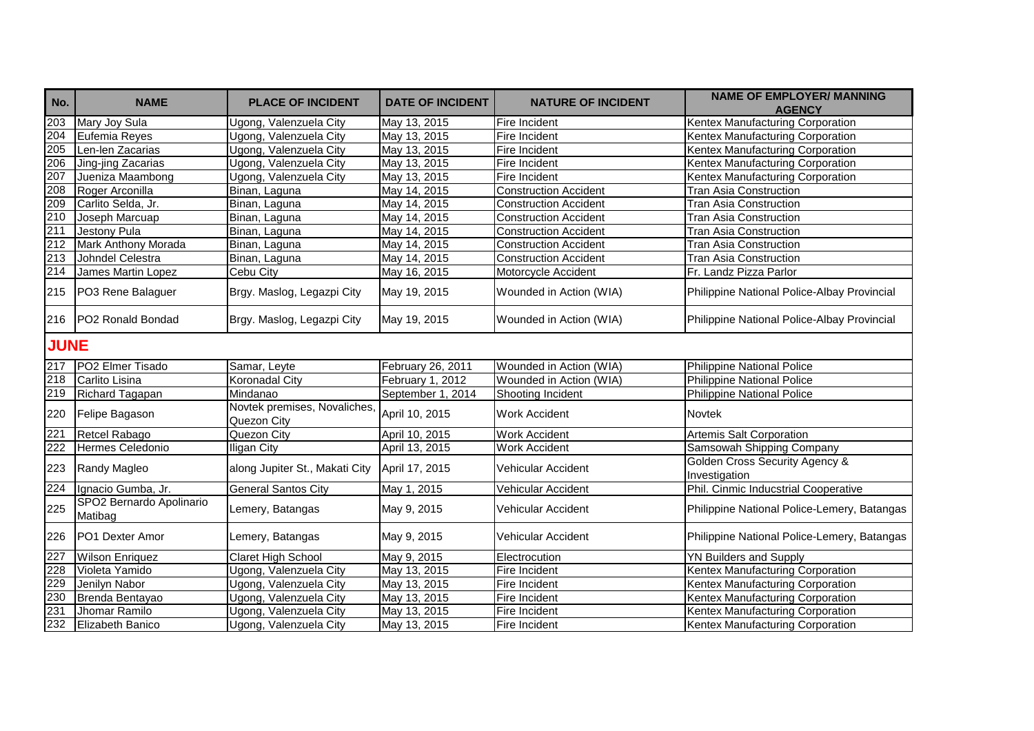| No.              | <b>NAME</b>                         | <b>PLACE OF INCIDENT</b>                    | <b>DATE OF INCIDENT</b> | <b>NATURE OF INCIDENT</b>    | <b>NAME OF EMPLOYER/ MANNING</b><br><b>AGENCY</b> |
|------------------|-------------------------------------|---------------------------------------------|-------------------------|------------------------------|---------------------------------------------------|
| $\overline{203}$ | Mary Joy Sula                       | Ugong, Valenzuela City                      | May 13, 2015            | Fire Incident                | Kentex Manufacturing Corporation                  |
| $\overline{204}$ | Eufemia Reyes                       | Ugong, Valenzuela City                      | May 13, 2015            | Fire Incident                | Kentex Manufacturing Corporation                  |
| 205              | Len-len Zacarias                    | Ugong, Valenzuela City                      | May 13, 2015            | Fire Incident                | Kentex Manufacturing Corporation                  |
| 206              | Jing-jing Zacarias                  | Ugong, Valenzuela City                      | May 13, 2015            | Fire Incident                | Kentex Manufacturing Corporation                  |
| 207              | Jueniza Maambong                    | Ugong, Valenzuela City                      | May 13, 2015            | Fire Incident                | Kentex Manufacturing Corporation                  |
| 208              | Roger Arconilla                     | Binan, Laguna                               | May 14, 2015            | <b>Construction Accident</b> | <b>Tran Asia Construction</b>                     |
| 209              | Carlito Selda, Jr.                  | Binan, Laguna                               | May 14, 2015            | <b>Construction Accident</b> | <b>Tran Asia Construction</b>                     |
| 210              | Joseph Marcuap                      | Binan, Laguna                               | May 14, 2015            | <b>Construction Accident</b> | Tran Asia Construction                            |
| 211              | Jestony Pula                        | Binan, Laguna                               | May 14, 2015            | <b>Construction Accident</b> | <b>Tran Asia Construction</b>                     |
| $\overline{212}$ | Mark Anthony Morada                 | Binan, Laguna                               | May 14, 2015            | <b>Construction Accident</b> | <b>Tran Asia Construction</b>                     |
| 213              | Johndel Celestra                    | Binan, Laguna                               | May 14, 2015            | <b>Construction Accident</b> | <b>Tran Asia Construction</b>                     |
| 214              | James Martin Lopez                  | Cebu City                                   | May 16, 2015            | Motorcycle Accident          | Fr. Landz Pizza Parlor                            |
| 215              | PO3 Rene Balaguer                   | Brgy. Maslog, Legazpi City                  | May 19, 2015            | Wounded in Action (WIA)      | Philippine National Police-Albay Provincial       |
| 216              | <b>IPO2 Ronald Bondad</b>           | Brgy. Maslog, Legazpi City                  | May 19, 2015            | Wounded in Action (WIA)      | Philippine National Police-Albay Provincial       |
| <b>JUNE</b>      |                                     |                                             |                         |                              |                                                   |
| 217              | PO2 Elmer Tisado                    | Samar, Leyte                                | February 26, 2011       | Wounded in Action (WIA)      | <b>Philippine National Police</b>                 |
| 218              | Carlito Lisina                      | Koronadal City                              | February 1, 2012        | Wounded in Action (WIA)      | <b>Philippine National Police</b>                 |
| 219              | Richard Tagapan                     | Mindanao                                    | September 1, 2014       | Shooting Incident            | <b>Philippine National Police</b>                 |
| 220              | Felipe Bagason                      | Novtek premises, Novaliches,<br>Quezon City | April 10, 2015          | <b>Work Accident</b>         | <b>Novtek</b>                                     |
| 221              | Retcel Rabago                       | Quezon City                                 | April 10, 2015          | <b>Work Accident</b>         | Artemis Salt Corporation                          |
| $\overline{222}$ | Hermes Celedonio                    | <b>Iligan City</b>                          | April 13, 2015          | <b>Work Accident</b>         | Samsowah Shipping Company                         |
| 223              | Randy Magleo                        | along Jupiter St., Makati City              | April 17, 2015          | Vehicular Accident           | Golden Cross Security Agency &<br>Investigation   |
| $\overline{224}$ | Ignacio Gumba, Jr.                  | <b>General Santos City</b>                  | May 1, 2015             | Vehicular Accident           | Phil. Cinmic Inducstrial Cooperative              |
| 225              | SPO2 Bernardo Apolinario<br>Matibag | Lemery, Batangas                            | May 9, 2015             | Vehicular Accident           | Philippine National Police-Lemery, Batangas       |
| 226              | PO1 Dexter Amor                     | Lemery, Batangas                            | May 9, 2015             | Vehicular Accident           | Philippine National Police-Lemery, Batangas       |
| 227              | <b>Wilson Enriquez</b>              | <b>Claret High School</b>                   | May 9, 2015             | Electrocution                | <b>YN Builders and Supply</b>                     |
| 228              | Violeta Yamido                      | Ugong, Valenzuela City                      | May 13, 2015            | Fire Incident                | Kentex Manufacturing Corporation                  |
| 229              | Jenilyn Nabor                       | Ugong, Valenzuela City                      | May 13, 2015            | Fire Incident                | Kentex Manufacturing Corporation                  |
| 230              | Brenda Bentayao                     | Ugong, Valenzuela City                      | May 13, 2015            | Fire Incident                | Kentex Manufacturing Corporation                  |
| 231              | Jhomar Ramilo                       | Ugong, Valenzuela City                      | May 13, 2015            | Fire Incident                | Kentex Manufacturing Corporation                  |
| 232              | Elizabeth Banico                    | Ugong, Valenzuela City                      | May 13, 2015            | Fire Incident                | Kentex Manufacturing Corporation                  |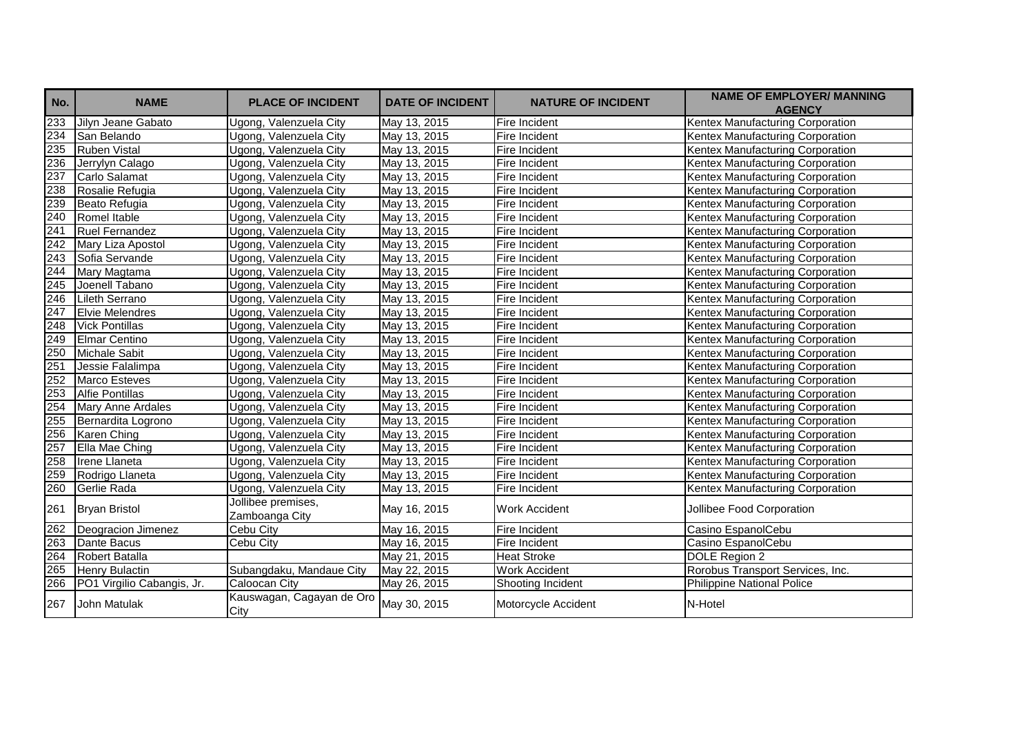| No. | <b>NAME</b>                | <b>PLACE OF INCIDENT</b>             | <b>DATE OF INCIDENT</b> | <b>NATURE OF INCIDENT</b> | <b>NAME OF EMPLOYER/ MANNING</b><br><b>AGENCY</b> |
|-----|----------------------------|--------------------------------------|-------------------------|---------------------------|---------------------------------------------------|
| 233 | Jilyn Jeane Gabato         | Ugong, Valenzuela City               | May 13, 2015            | Fire Incident             | Kentex Manufacturing Corporation                  |
| 234 | San Belando                | Ugong, Valenzuela City               | May 13, 2015            | Fire Incident             | Kentex Manufacturing Corporation                  |
| 235 | <b>Ruben Vistal</b>        | Ugong, Valenzuela City               | May 13, 2015            | Fire Incident             | Kentex Manufacturing Corporation                  |
| 236 | Jerrylyn Calago            | Ugong, Valenzuela City               | May 13, 2015            | Fire Incident             | Kentex Manufacturing Corporation                  |
| 237 | Carlo Salamat              | Ugong, Valenzuela City               | May 13, 2015            | Fire Incident             | Kentex Manufacturing Corporation                  |
| 238 | Rosalie Refugia            | Ugong, Valenzuela City               | May 13, 2015            | Fire Incident             | Kentex Manufacturing Corporation                  |
| 239 | Beato Refugia              | Ugong, Valenzuela City               | May 13, 2015            | Fire Incident             | Kentex Manufacturing Corporation                  |
| 240 | Romel Itable               | Ugong, Valenzuela City               | May 13, 2015            | Fire Incident             | Kentex Manufacturing Corporation                  |
| 241 | <b>Ruel Fernandez</b>      | Ugong, Valenzuela City               | May 13, 2015            | Fire Incident             | Kentex Manufacturing Corporation                  |
| 242 | Mary Liza Apostol          | Ugong, Valenzuela City               | May 13, 2015            | Fire Incident             | Kentex Manufacturing Corporation                  |
| 243 | Sofia Servande             | Ugong, Valenzuela City               | May 13, 2015            | Fire Incident             | Kentex Manufacturing Corporation                  |
| 244 | Mary Magtama               | Ugong, Valenzuela City               | May 13, 2015            | Fire Incident             | Kentex Manufacturing Corporation                  |
| 245 | Joenell Tabano             | Ugong, Valenzuela City               | May 13, 2015            | Fire Incident             | Kentex Manufacturing Corporation                  |
| 246 | Lileth Serrano             | Ugong, Valenzuela City               | May 13, 2015            | Fire Incident             | Kentex Manufacturing Corporation                  |
| 247 | <b>Elvie Melendres</b>     | Ugong, Valenzuela City               | May 13, 2015            | Fire Incident             | Kentex Manufacturing Corporation                  |
| 248 | <b>Vick Pontillas</b>      | Ugong, Valenzuela City               | May 13, 2015            | Fire Incident             | Kentex Manufacturing Corporation                  |
| 249 | Elmar Centino              | Ugong, Valenzuela City               | May 13, 2015            | Fire Incident             | Kentex Manufacturing Corporation                  |
| 250 | <b>Michale Sabit</b>       | Ugong, Valenzuela City               | May 13, 2015            | Fire Incident             | Kentex Manufacturing Corporation                  |
| 251 | Jessie Falalimpa           | Ugong, Valenzuela City               | May 13, 2015            | Fire Incident             | Kentex Manufacturing Corporation                  |
| 252 | <b>Marco Esteves</b>       | Ugong, Valenzuela City               | May 13, 2015            | Fire Incident             | Kentex Manufacturing Corporation                  |
| 253 | <b>Alfie Pontillas</b>     | Ugong, Valenzuela City               | May 13, 2015            | Fire Incident             | Kentex Manufacturing Corporation                  |
| 254 | <b>Mary Anne Ardales</b>   | Ugong, Valenzuela City               | May 13, 2015            | Fire Incident             | Kentex Manufacturing Corporation                  |
| 255 | Bernardita Logrono         | Ugong, Valenzuela City               | May 13, 2015            | Fire Incident             | Kentex Manufacturing Corporation                  |
| 256 | Karen Ching                | Ugong, Valenzuela City               | May 13, 2015            | Fire Incident             | Kentex Manufacturing Corporation                  |
| 257 | Ella Mae Ching             | Ugong, Valenzuela City               | May 13, 2015            | Fire Incident             | Kentex Manufacturing Corporation                  |
| 258 | Irene Llaneta              | Ugong, Valenzuela City               | May 13, 2015            | Fire Incident             | Kentex Manufacturing Corporation                  |
| 259 | Rodrigo Llaneta            | Ugong, Valenzuela City               | May 13, 2015            | Fire Incident             | Kentex Manufacturing Corporation                  |
| 260 | Gerlie Rada                | Ugong, Valenzuela City               | May 13, 2015            | Fire Incident             | Kentex Manufacturing Corporation                  |
| 261 | <b>Bryan Bristol</b>       | Jollibee premises,<br>Zamboanga City | May 16, 2015            | <b>Work Accident</b>      | Jollibee Food Corporation                         |
| 262 | Deogracion Jimenez         | Cebu City                            | May 16, 2015            | Fire Incident             | Casino EspanolCebu                                |
| 263 | Dante Bacus                | Cebu City                            | May 16, 2015            | Fire Incident             | Casino EspanolCebu                                |
| 264 | <b>Robert Batalla</b>      |                                      | May 21, 2015            | <b>Heat Stroke</b>        | DOLE Region 2                                     |
| 265 | <b>Henry Bulactin</b>      | Subangdaku, Mandaue City             | May 22, 2015            | <b>Work Accident</b>      | Rorobus Transport Services, Inc.                  |
| 266 | PO1 Virgilio Cabangis, Jr. | Caloocan City                        | May 26, 2015            | Shooting Incident         | <b>Philippine National Police</b>                 |
| 267 | John Matulak               | Kauswagan, Cagayan de Oro<br>City    | May 30, 2015            | Motorcycle Accident       | N-Hotel                                           |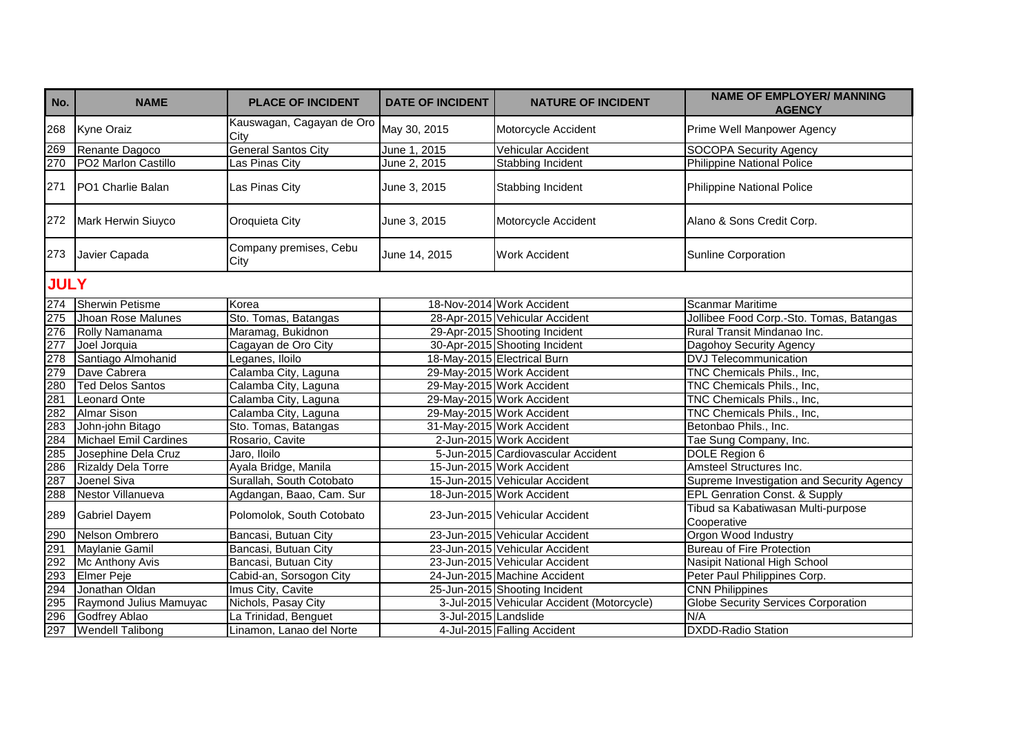| No.         | <b>NAME</b>                  | <b>PLACE OF INCIDENT</b>          | <b>DATE OF INCIDENT</b> | <b>NATURE OF INCIDENT</b>                  | <b>NAME OF EMPLOYER/ MANNING</b><br><b>AGENCY</b> |
|-------------|------------------------------|-----------------------------------|-------------------------|--------------------------------------------|---------------------------------------------------|
| 268         | <b>Kyne Oraiz</b>            | Kauswagan, Cagayan de Oro<br>City | May 30, 2015            | Motorcycle Accident                        | Prime Well Manpower Agency                        |
| 269         | Renante Dagoco               | <b>General Santos City</b>        | June 1, 2015            | Vehicular Accident                         | <b>SOCOPA Security Agency</b>                     |
| 270         | PO2 Marlon Castillo          | Las Pinas City                    | June 2, 2015            | Stabbing Incident                          | <b>Philippine National Police</b>                 |
| 271         | PO1 Charlie Balan            | Las Pinas City                    | June 3, 2015            | Stabbing Incident                          | Philippine National Police                        |
| 272         | Mark Herwin Siuyco           | Oroquieta City                    | June 3, 2015            | Motorcycle Accident                        | Alano & Sons Credit Corp.                         |
| 273         | Javier Capada                | Company premises, Cebu<br>City    | June 14, 2015           | <b>Work Accident</b>                       | Sunline Corporation                               |
| <b>JULY</b> |                              |                                   |                         |                                            |                                                   |
| 274         | <b>Sherwin Petisme</b>       | Korea                             |                         | 18-Nov-2014 Work Accident                  | <b>Scanmar Maritime</b>                           |
| 275         | Jhoan Rose Malunes           | Sto. Tomas, Batangas              |                         | 28-Apr-2015 Vehicular Accident             | Jollibee Food Corp.-Sto. Tomas, Batangas          |
| 276         | Rolly Namanama               | Maramag, Bukidnon                 |                         | 29-Apr-2015 Shooting Incident              | Rural Transit Mindanao Inc.                       |
| 277         | Joel Jorquia                 | Cagayan de Oro City               |                         | 30-Apr-2015 Shooting Incident              | Dagohoy Security Agency                           |
| 278         | Santiago Almohanid           | Leganes, Iloilo                   |                         | 18-May-2015 Electrical Burn                | <b>DVJ Telecommunication</b>                      |
| 279         | Dave Cabrera                 | Calamba City, Laguna              |                         | 29-May-2015 Work Accident                  | TNC Chemicals Phils., Inc.                        |
| 280         | <b>Ted Delos Santos</b>      | Calamba City, Laguna              |                         | 29-May-2015 Work Accident                  | TNC Chemicals Phils., Inc,                        |
| 281         | <b>Leonard Onte</b>          | Calamba City, Laguna              |                         | 29-May-2015 Work Accident                  | TNC Chemicals Phils., Inc,                        |
| 282         | <b>Almar Sison</b>           | Calamba City, Laguna              |                         | 29-May-2015 Work Accident                  | TNC Chemicals Phils., Inc,                        |
| 283         | John-john Bitago             | Sto. Tomas, Batangas              |                         | 31-May-2015 Work Accident                  | Betonbao Phils., Inc.                             |
| 284         | <b>Michael Emil Cardines</b> | Rosario, Cavite                   |                         | 2-Jun-2015 Work Accident                   | Tae Sung Company, Inc.                            |
| 285         | Josephine Dela Cruz          | Jaro, Iloilo                      |                         | 5-Jun-2015 Cardiovascular Accident         | DOLE Region 6                                     |
| 286         | <b>Rizaldy Dela Torre</b>    | Ayala Bridge, Manila              |                         | 15-Jun-2015 Work Accident                  | Amsteel Structures Inc.                           |
| 287         | Joenel Siva                  | Surallah, South Cotobato          |                         | 15-Jun-2015 Vehicular Accident             | Supreme Investigation and Security Agency         |
| 288         | Nestor Villanueva            | Agdangan, Baao, Cam. Sur          |                         | 18-Jun-2015 Work Accident                  | <b>EPL Genration Const. &amp; Supply</b>          |
| 289         | <b>Gabriel Dayem</b>         | Polomolok, South Cotobato         |                         | 23-Jun-2015 Vehicular Accident             | Tibud sa Kabatiwasan Multi-purpose<br>Cooperative |
| 290         | Nelson Ombrero               | Bancasi, Butuan City              |                         | 23-Jun-2015 Vehicular Accident             | Orgon Wood Industry                               |
| 291         | Maylanie Gamil               | Bancasi, Butuan City              |                         | 23-Jun-2015 Vehicular Accident             | <b>Bureau of Fire Protection</b>                  |
| 292         | Mc Anthony Avis              | Bancasi, Butuan City              |                         | 23-Jun-2015 Vehicular Accident             | Nasipit National High School                      |
| 293         | <b>Elmer Peje</b>            | Cabid-an, Sorsogon City           |                         | 24-Jun-2015 Machine Accident               | Peter Paul Philippines Corp.                      |
| 294         | Jonathan Oldan               | Imus City, Cavite                 |                         | 25-Jun-2015 Shooting Incident              | <b>CNN Philippines</b>                            |
| 295         | Raymond Julius Mamuyac       | Nichols, Pasay City               |                         | 3-Jul-2015 Vehicular Accident (Motorcycle) | <b>Globe Security Services Corporation</b>        |
| 296         | <b>Godfrey Ablao</b>         | La Trinidad, Benguet              | 3-Jul-2015 Landslide    |                                            | N/A                                               |
| 297         | <b>Wendell Talibong</b>      | Linamon, Lanao del Norte          |                         | 4-Jul-2015 Falling Accident                | <b>DXDD-Radio Station</b>                         |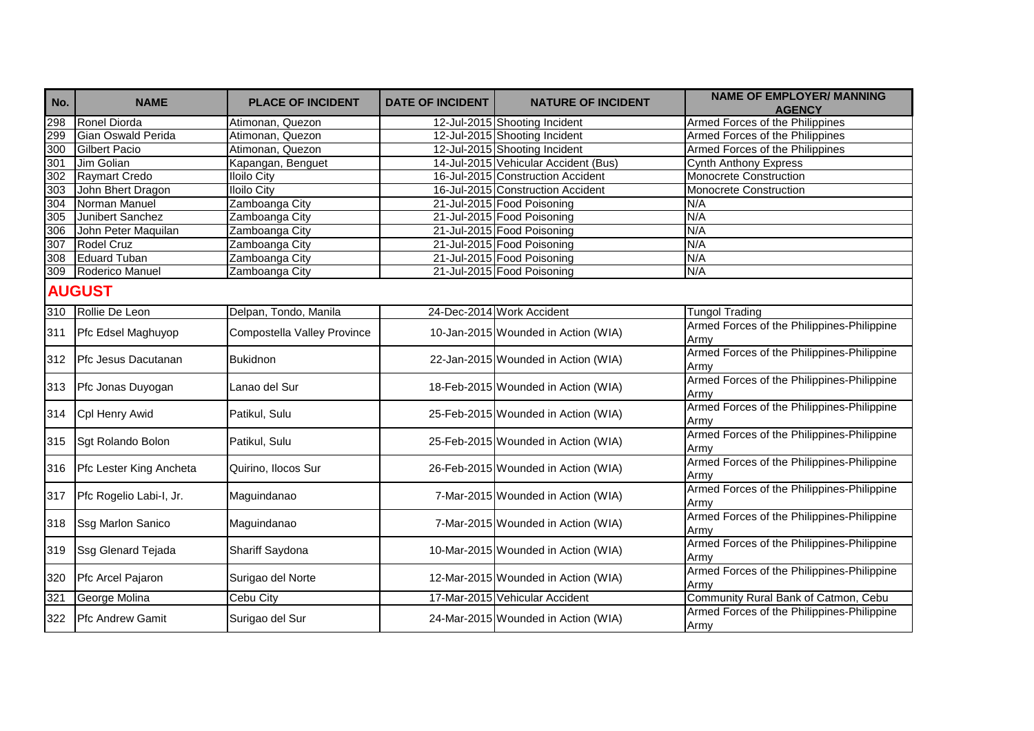| No.  | <b>NAME</b>              | <b>PLACE OF INCIDENT</b>    | <b>DATE OF INCIDENT</b> | <b>NATURE OF INCIDENT</b>            | <b>NAME OF EMPLOYER/ MANNING</b><br><b>AGENCY</b>  |
|------|--------------------------|-----------------------------|-------------------------|--------------------------------------|----------------------------------------------------|
| 298  | Ronel Diorda             | Atimonan, Quezon            |                         | 12-Jul-2015 Shooting Incident        | Armed Forces of the Philippines                    |
| 299  | Gian Oswald Perida       | Atimonan, Quezon            |                         | 12-Jul-2015 Shooting Incident        | Armed Forces of the Philippines                    |
| 300  | <b>Gilbert Pacio</b>     | Atimonan, Quezon            |                         | 12-Jul-2015 Shooting Incident        | Armed Forces of the Philippines                    |
| 301  | Jim Golian               | Kapangan, Benguet           |                         | 14-Jul-2015 Vehicular Accident (Bus) | <b>Cynth Anthony Express</b>                       |
| 302  | <b>Raymart Credo</b>     | <b>Iloilo City</b>          |                         | 16-Jul-2015 Construction Accident    | Monocrete Construction                             |
| 303  | John Bhert Dragon        | <b>Iloilo City</b>          |                         | 16-Jul-2015 Construction Accident    | Monocrete Construction                             |
| 304  | Norman Manuel            | Zamboanga City              |                         | 21-Jul-2015 Food Poisoning           | N/A                                                |
| 305  | Junibert Sanchez         | Zamboanga City              |                         | 21-Jul-2015 Food Poisoning           | N/A                                                |
| 306  | John Peter Maquilan      | Zamboanga City              |                         | 21-Jul-2015 Food Poisoning           | N/A                                                |
| 307  | Rodel Cruz               | Zamboanga City              |                         | 21-Jul-2015 Food Poisoning           | N/A                                                |
| 308  | <b>Eduard Tuban</b>      | Zamboanga City              |                         | 21-Jul-2015 Food Poisoning           | N/A                                                |
| 309  | Roderico Manuel          | Zamboanga City              |                         | 21-Jul-2015 Food Poisoning           | N/A                                                |
|      | <b>AUGUST</b>            |                             |                         |                                      |                                                    |
| 310  | Rollie De Leon           | Delpan, Tondo, Manila       |                         | 24-Dec-2014 Work Accident            | <b>Tungol Trading</b>                              |
| 311  | Pfc Edsel Maghuyop       | Compostella Valley Province |                         | 10-Jan-2015 Wounded in Action (WIA)  | Armed Forces of the Philippines-Philippine<br>Army |
| 312  | Pfc Jesus Dacutanan      | <b>Bukidnon</b>             |                         | 22-Jan-2015 Wounded in Action (WIA)  | Armed Forces of the Philippines-Philippine<br>Army |
| 313. | Pfc Jonas Duyogan        | Lanao del Sur               |                         | 18-Feb-2015 Wounded in Action (WIA)  | Armed Forces of the Philippines-Philippine<br>Army |
| 314  | Cpl Henry Awid           | Patikul, Sulu               |                         | 25-Feb-2015 Wounded in Action (WIA)  | Armed Forces of the Philippines-Philippine<br>Army |
| 315  | Sgt Rolando Bolon        | Patikul, Sulu               |                         | 25-Feb-2015 Wounded in Action (WIA)  | Armed Forces of the Philippines-Philippine<br>Army |
| 316  | Pfc Lester King Ancheta  | Quirino, Ilocos Sur         |                         | 26-Feb-2015 Wounded in Action (WIA)  | Armed Forces of the Philippines-Philippine<br>Armv |
| 317  | Pfc Rogelio Labi-I, Jr.  | Maguindanao                 |                         | 7-Mar-2015 Wounded in Action (WIA)   | Armed Forces of the Philippines-Philippine<br>Army |
| 318  | <b>Ssg Marlon Sanico</b> | Maguindanao                 |                         | 7-Mar-2015 Wounded in Action (WIA)   | Armed Forces of the Philippines-Philippine<br>Army |
| 319  | Ssg Glenard Tejada       | Shariff Saydona             |                         | 10-Mar-2015 Wounded in Action (WIA)  | Armed Forces of the Philippines-Philippine<br>Army |
| 320  | Pfc Arcel Pajaron        | Surigao del Norte           |                         | 12-Mar-2015 Wounded in Action (WIA)  | Armed Forces of the Philippines-Philippine<br>Army |
| 321  | George Molina            | Cebu City                   |                         | 17-Mar-2015 Vehicular Accident       | Community Rural Bank of Catmon, Cebu               |
| 322  | <b>Pfc Andrew Gamit</b>  | Surigao del Sur             |                         | 24-Mar-2015 Wounded in Action (WIA)  | Armed Forces of the Philippines-Philippine<br>Army |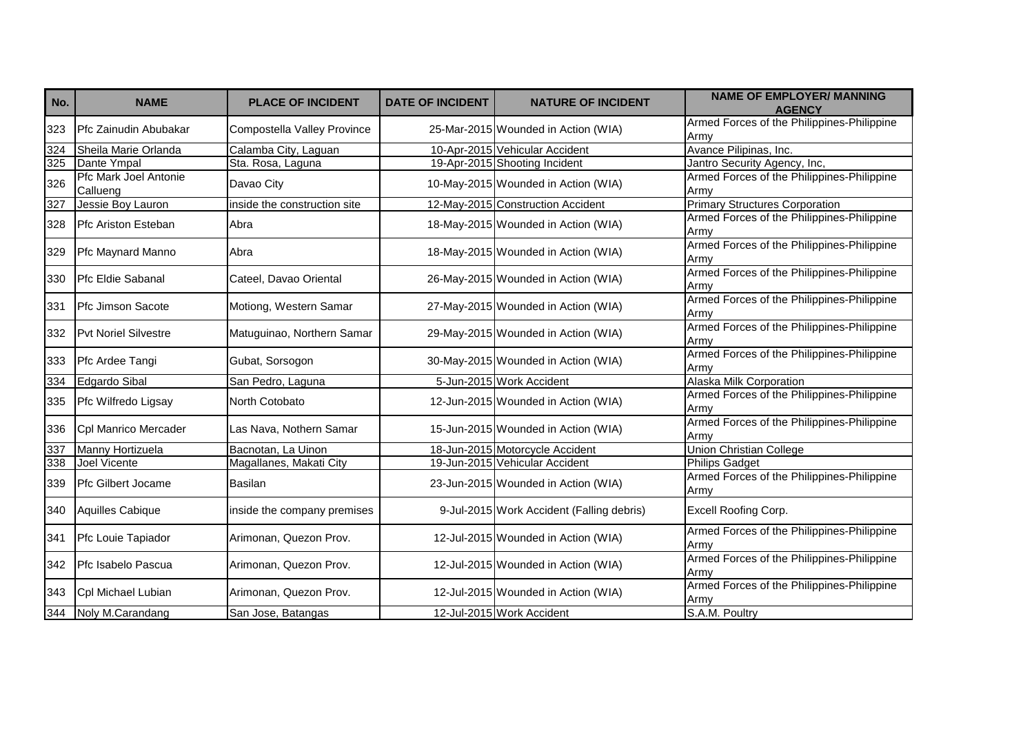| No.              | <b>NAME</b>                       | <b>PLACE OF INCIDENT</b>     | <b>DATE OF INCIDENT</b> | <b>NATURE OF INCIDENT</b>                 | <b>NAME OF EMPLOYER/ MANNING</b><br><b>AGENCY</b>  |
|------------------|-----------------------------------|------------------------------|-------------------------|-------------------------------------------|----------------------------------------------------|
| 323              | Pfc Zainudin Abubakar             | Compostella Valley Province  |                         | 25-Mar-2015 Wounded in Action (WIA)       | Armed Forces of the Philippines-Philippine<br>Army |
| $\overline{324}$ | Sheila Marie Orlanda              | Calamba City, Laguan         |                         | 10-Apr-2015 Vehicular Accident            | Avance Pilipinas, Inc.                             |
| 325              | Dante Ympal                       | Sta. Rosa, Laguna            |                         | 19-Apr-2015 Shooting Incident             | Jantro Security Agency, Inc,                       |
| 326              | Pfc Mark Joel Antonie<br>Callueng | Davao City                   |                         | 10-May-2015 Wounded in Action (WIA)       | Armed Forces of the Philippines-Philippine<br>Army |
| 327              | Jessie Boy Lauron                 | inside the construction site |                         | 12-May-2015 Construction Accident         | <b>Primary Structures Corporation</b>              |
| 328              | Pfc Ariston Esteban               | Abra                         |                         | 18-May-2015 Wounded in Action (WIA)       | Armed Forces of the Philippines-Philippine<br>Armv |
| 329              | Pfc Maynard Manno                 | Abra                         |                         | 18-May-2015 Wounded in Action (WIA)       | Armed Forces of the Philippines-Philippine<br>Army |
| 330              | Pfc Eldie Sabanal                 | Cateel, Davao Oriental       |                         | 26-May-2015 Wounded in Action (WIA)       | Armed Forces of the Philippines-Philippine<br>Armv |
| 331              | <b>Pfc Jimson Sacote</b>          | Motiong, Western Samar       |                         | 27-May-2015 Wounded in Action (WIA)       | Armed Forces of the Philippines-Philippine<br>Army |
| 332              | <b>Pvt Noriel Silvestre</b>       | Matuguinao, Northern Samar   |                         | 29-May-2015 Wounded in Action (WIA)       | Armed Forces of the Philippines-Philippine<br>Army |
| 333              | Pfc Ardee Tangi                   | Gubat, Sorsogon              |                         | 30-May-2015 Wounded in Action (WIA)       | Armed Forces of the Philippines-Philippine<br>Armv |
| 334              | Edgardo Sibal                     | San Pedro, Laguna            |                         | 5-Jun-2015 Work Accident                  | Alaska Milk Corporation                            |
| 335              | Pfc Wilfredo Ligsay               | North Cotobato               |                         | 12-Jun-2015 Wounded in Action (WIA)       | Armed Forces of the Philippines-Philippine<br>Armv |
| 336              | Cpl Manrico Mercader              | Las Nava, Nothern Samar      |                         | 15-Jun-2015 Wounded in Action (WIA)       | Armed Forces of the Philippines-Philippine<br>Army |
| $\overline{337}$ | Manny Hortizuela                  | Bacnotan, La Uinon           |                         | 18-Jun-2015 Motorcycle Accident           | Union Christian College                            |
| 338              | <b>Joel Vicente</b>               | Magallanes, Makati City      |                         | 19-Jun-2015 Vehicular Accident            | <b>Philips Gadget</b>                              |
| 339              | Pfc Gilbert Jocame                | Basilan                      |                         | 23-Jun-2015 Wounded in Action (WIA)       | Armed Forces of the Philippines-Philippine<br>Army |
| 340              | Aquilles Cabique                  | inside the company premises  |                         | 9-Jul-2015 Work Accident (Falling debris) | Excell Roofing Corp.                               |
| 341              | Pfc Louie Tapiador                | Arimonan, Quezon Prov.       |                         | 12-Jul-2015 Wounded in Action (WIA)       | Armed Forces of the Philippines-Philippine<br>Army |
| 342              | Pfc Isabelo Pascua                | Arimonan, Quezon Prov.       |                         | 12-Jul-2015 Wounded in Action (WIA)       | Armed Forces of the Philippines-Philippine<br>Armv |
| 343              | Cpl Michael Lubian                | Arimonan, Quezon Prov.       |                         | 12-Jul-2015 Wounded in Action (WIA)       | Armed Forces of the Philippines-Philippine<br>Army |
| 344              | Noly M.Carandang                  | San Jose, Batangas           |                         | 12-Jul-2015 Work Accident                 | S.A.M. Poultry                                     |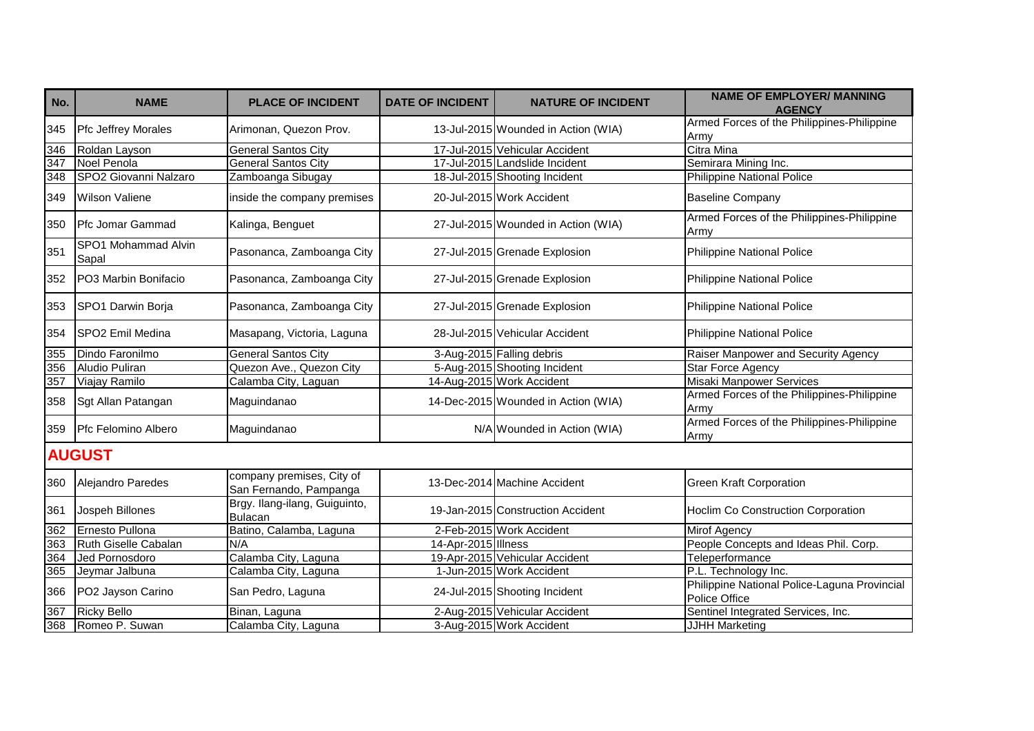| No. | <b>NAME</b>                  | <b>PLACE OF INCIDENT</b>                            | <b>DATE OF INCIDENT</b> | <b>NATURE OF INCIDENT</b>           | <b>NAME OF EMPLOYER/ MANNING</b><br><b>AGENCY</b>             |
|-----|------------------------------|-----------------------------------------------------|-------------------------|-------------------------------------|---------------------------------------------------------------|
| 345 | <b>Pfc Jeffrey Morales</b>   | Arimonan, Quezon Prov.                              |                         | 13-Jul-2015 Wounded in Action (WIA) | Armed Forces of the Philippines-Philippine<br>Army            |
| 346 | Roldan Layson                | <b>General Santos City</b>                          |                         | 17-Jul-2015 Vehicular Accident      | <b>Citra Mina</b>                                             |
| 347 | Noel Penola                  | <b>General Santos City</b>                          |                         | 17-Jul-2015 Landslide Incident      | Semirara Mining Inc.                                          |
| 348 | SPO2 Giovanni Nalzaro        | Zamboanga Sibugay                                   |                         | 18-Jul-2015 Shooting Incident       | <b>Philippine National Police</b>                             |
| 349 | <b>Wilson Valiene</b>        | inside the company premises                         |                         | 20-Jul-2015 Work Accident           | <b>Baseline Company</b>                                       |
| 350 | <b>Pfc Jomar Gammad</b>      | Kalinga, Benguet                                    |                         | 27-Jul-2015 Wounded in Action (WIA) | Armed Forces of the Philippines-Philippine<br>Army            |
| 351 | SPO1 Mohammad Alvin<br>Sapal | Pasonanca, Zamboanga City                           |                         | 27-Jul-2015 Grenade Explosion       | Philippine National Police                                    |
| 352 | PO3 Marbin Bonifacio         | Pasonanca, Zamboanga City                           |                         | 27-Jul-2015 Grenade Explosion       | <b>Philippine National Police</b>                             |
| 353 | SPO1 Darwin Borja            | Pasonanca, Zamboanga City                           |                         | 27-Jul-2015 Grenade Explosion       | <b>Philippine National Police</b>                             |
| 354 | <b>SPO2 Emil Medina</b>      | Masapang, Victoria, Laguna                          |                         | 28-Jul-2015 Vehicular Accident      | Philippine National Police                                    |
| 355 | Dindo Faronilmo              | <b>General Santos City</b>                          |                         | 3-Aug-2015 Falling debris           | Raiser Manpower and Security Agency                           |
| 356 | Aludio Puliran               | Quezon Ave., Quezon City                            |                         | 5-Aug-2015 Shooting Incident        | <b>Star Force Agency</b>                                      |
| 357 | Viajay Ramilo                | Calamba City, Laguan                                |                         | 14-Aug-2015 Work Accident           | <b>Misaki Manpower Services</b>                               |
| 358 | Sgt Allan Patangan           | Maguindanao                                         |                         | 14-Dec-2015 Wounded in Action (WIA) | Armed Forces of the Philippines-Philippine<br>Army            |
| 359 | Pfc Felomino Albero          | Maguindanao                                         |                         | N/A Wounded in Action (WIA)         | Armed Forces of the Philippines-Philippine<br>Army            |
|     | <b>AUGUST</b>                |                                                     |                         |                                     |                                                               |
| 360 | Alejandro Paredes            | company premises, City of<br>San Fernando, Pampanga |                         | 13-Dec-2014 Machine Accident        | <b>Green Kraft Corporation</b>                                |
| 361 | Jospeh Billones              | Brgy. Ilang-ilang, Guiguinto,<br><b>Bulacan</b>     |                         | 19-Jan-2015 Construction Accident   | Hoclim Co Construction Corporation                            |
| 362 | Ernesto Pullona              | Batino, Calamba, Laguna                             |                         | 2-Feb-2015 Work Accident            | <b>Mirof Agency</b>                                           |
| 363 | Ruth Giselle Cabalan         | N/A                                                 | 14-Apr-2015 Illness     |                                     | People Concepts and Ideas Phil. Corp.                         |
| 364 | Jed Pornosdoro               | Calamba City, Laguna                                |                         | 19-Apr-2015 Vehicular Accident      | Teleperformance                                               |
| 365 | Jeymar Jalbuna               | Calamba City, Laguna                                |                         | 1-Jun-2015 Work Accident            | P.L. Technology Inc.                                          |
| 366 | PO2 Jayson Carino            | San Pedro, Laguna                                   |                         | 24-Jul-2015 Shooting Incident       | Philippine National Police-Laguna Provincial<br>Police Office |
| 367 | <b>Ricky Bello</b>           | Binan, Laguna                                       |                         | 2-Aug-2015 Vehicular Accident       | Sentinel Integrated Services, Inc.                            |
| 368 | Romeo P. Suwan               | Calamba City, Laguna                                |                         | 3-Aug-2015 Work Accident            | <b>JJHH</b> Marketing                                         |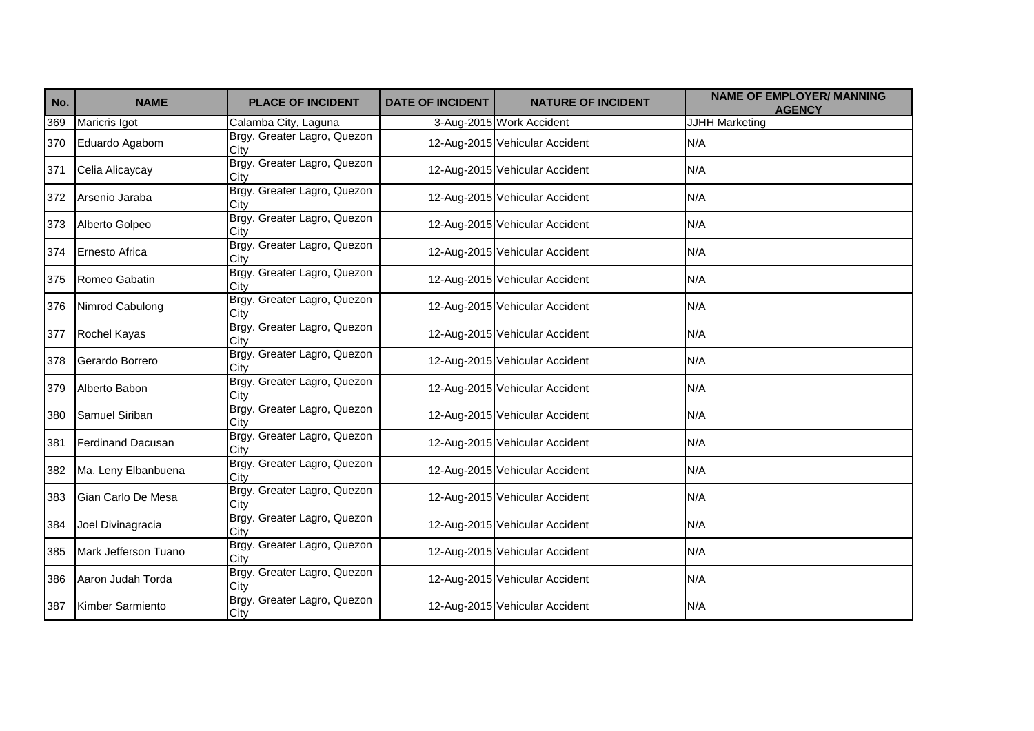| No. | <b>NAME</b>              | <b>PLACE OF INCIDENT</b>            | <b>DATE OF INCIDENT</b> | <b>NATURE OF INCIDENT</b>      | <b>NAME OF EMPLOYER/ MANNING</b><br><b>AGENCY</b> |
|-----|--------------------------|-------------------------------------|-------------------------|--------------------------------|---------------------------------------------------|
| 369 | Maricris Igot            | Calamba City, Laguna                |                         | 3-Aug-2015 Work Accident       | JJHH Marketing                                    |
| 370 | Eduardo Agabom           | Brgy. Greater Lagro, Quezon<br>City |                         | 12-Aug-2015 Vehicular Accident | N/A                                               |
| 371 | Celia Alicaycay          | Brgy. Greater Lagro, Quezon<br>City |                         | 12-Aug-2015 Vehicular Accident | N/A                                               |
| 372 | Arsenio Jaraba           | Brgy. Greater Lagro, Quezon<br>City |                         | 12-Aug-2015 Vehicular Accident | N/A                                               |
| 373 | Alberto Golpeo           | Brgy. Greater Lagro, Quezon<br>City |                         | 12-Aug-2015 Vehicular Accident | N/A                                               |
| 374 | <b>Ernesto Africa</b>    | Brgy. Greater Lagro, Quezon<br>City |                         | 12-Aug-2015 Vehicular Accident | N/A                                               |
| 375 | Romeo Gabatin            | Brgy. Greater Lagro, Quezon<br>City |                         | 12-Aug-2015 Vehicular Accident | N/A                                               |
| 376 | Nimrod Cabulong          | Brgy. Greater Lagro, Quezon<br>City |                         | 12-Aug-2015 Vehicular Accident | N/A                                               |
| 377 | Rochel Kayas             | Brgy. Greater Lagro, Quezon<br>City |                         | 12-Aug-2015 Vehicular Accident | N/A                                               |
| 378 | Gerardo Borrero          | Brgy. Greater Lagro, Quezon<br>City |                         | 12-Aug-2015 Vehicular Accident | N/A                                               |
| 379 | Alberto Babon            | Brgy. Greater Lagro, Quezon<br>City |                         | 12-Aug-2015 Vehicular Accident | N/A                                               |
| 380 | Samuel Siriban           | Brgy. Greater Lagro, Quezon<br>City |                         | 12-Aug-2015 Vehicular Accident | N/A                                               |
| 381 | <b>Ferdinand Dacusan</b> | Brgy. Greater Lagro, Quezon<br>City |                         | 12-Aug-2015 Vehicular Accident | N/A                                               |
| 382 | Ma. Leny Elbanbuena      | Brgy. Greater Lagro, Quezon<br>City |                         | 12-Aug-2015 Vehicular Accident | N/A                                               |
| 383 | Gian Carlo De Mesa       | Brgy. Greater Lagro, Quezon<br>City |                         | 12-Aug-2015 Vehicular Accident | N/A                                               |
| 384 | Joel Divinagracia        | Brgy. Greater Lagro, Quezon<br>City |                         | 12-Aug-2015 Vehicular Accident | N/A                                               |
| 385 | Mark Jefferson Tuano     | Brgy. Greater Lagro, Quezon<br>City |                         | 12-Aug-2015 Vehicular Accident | N/A                                               |
| 386 | Aaron Judah Torda        | Brgy. Greater Lagro, Quezon<br>City |                         | 12-Aug-2015 Vehicular Accident | N/A                                               |
| 387 | Kimber Sarmiento         | Brgy. Greater Lagro, Quezon<br>City |                         | 12-Aug-2015 Vehicular Accident | N/A                                               |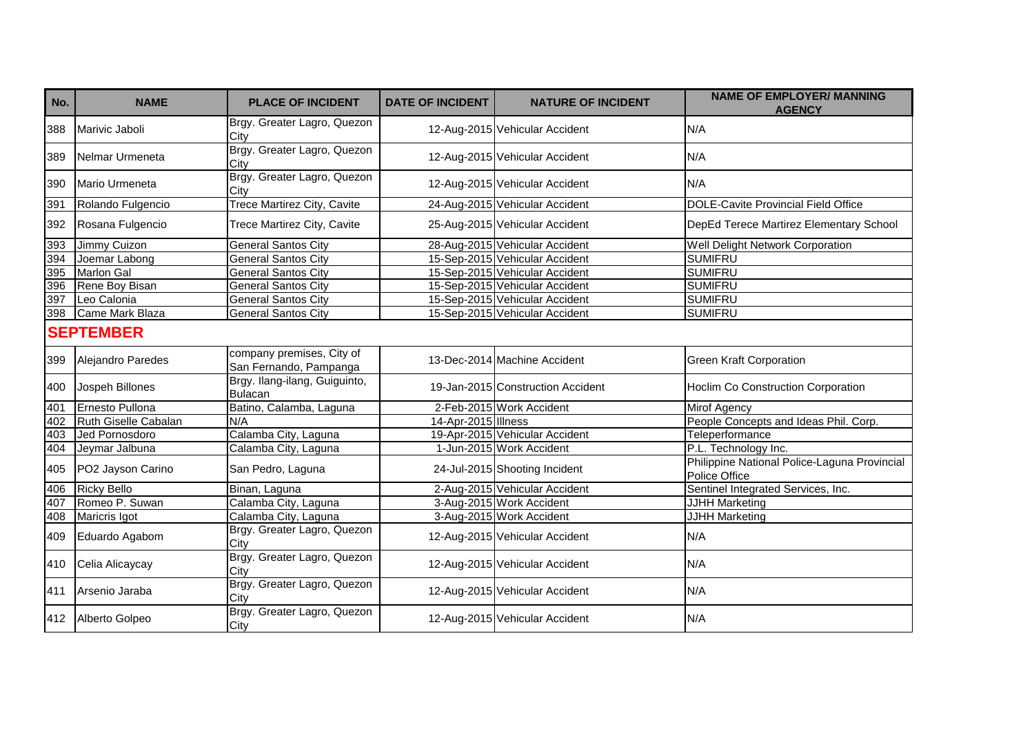| No. | <b>NAME</b>          | <b>PLACE OF INCIDENT</b>                            | <b>DATE OF INCIDENT</b> | <b>NATURE OF INCIDENT</b>         | <b>NAME OF EMPLOYER/ MANNING</b><br><b>AGENCY</b>             |
|-----|----------------------|-----------------------------------------------------|-------------------------|-----------------------------------|---------------------------------------------------------------|
| 388 | Marivic Jaboli       | Brgy. Greater Lagro, Quezon<br>City                 |                         | 12-Aug-2015 Vehicular Accident    | N/A                                                           |
| 389 | Nelmar Urmeneta      | Brgy. Greater Lagro, Quezon<br>City                 |                         | 12-Aug-2015 Vehicular Accident    | N/A                                                           |
| 390 | Mario Urmeneta       | Brgy. Greater Lagro, Quezon<br>City                 |                         | 12-Aug-2015 Vehicular Accident    | N/A                                                           |
| 391 | Rolando Fulgencio    | <b>Trece Martirez City, Cavite</b>                  |                         | 24-Aug-2015 Vehicular Accident    | <b>DOLE-Cavite Provincial Field Office</b>                    |
| 392 | Rosana Fulgencio     | Trece Martirez City, Cavite                         |                         | 25-Aug-2015 Vehicular Accident    | DepEd Terece Martirez Elementary School                       |
| 393 | Jimmy Cuizon         | General Santos City                                 |                         | 28-Aug-2015 Vehicular Accident    | Well Delight Network Corporation                              |
| 394 | Joemar Labong        | <b>General Santos City</b>                          |                         | 15-Sep-2015 Vehicular Accident    | <b>SUMIFRU</b>                                                |
| 395 | <b>Marlon Gal</b>    | <b>General Santos City</b>                          |                         | 15-Sep-2015 Vehicular Accident    | <b>SUMIFRU</b>                                                |
| 396 | Rene Boy Bisan       | <b>General Santos City</b>                          |                         | 15-Sep-2015 Vehicular Accident    | <b>SUMIFRU</b>                                                |
| 397 | Leo Calonia          | <b>General Santos City</b>                          |                         | 15-Sep-2015 Vehicular Accident    | <b>SUMIFRU</b>                                                |
|     | 398 Came Mark Blaza  | <b>General Santos City</b>                          |                         | 15-Sep-2015 Vehicular Accident    | <b>SUMIFRU</b>                                                |
|     | <b>SEPTEMBER</b>     |                                                     |                         |                                   |                                                               |
| 399 | Alejandro Paredes    | company premises, City of<br>San Fernando, Pampanga |                         | 13-Dec-2014 Machine Accident      | <b>Green Kraft Corporation</b>                                |
| 400 | Jospeh Billones      | Brgy. Ilang-ilang, Guiguinto,<br><b>Bulacan</b>     |                         | 19-Jan-2015 Construction Accident | Hoclim Co Construction Corporation                            |
| 401 | Ernesto Pullona      | Batino, Calamba, Laguna                             |                         | 2-Feb-2015 Work Accident          | <b>Mirof Agency</b>                                           |
| 402 | Ruth Giselle Cabalan | N/A                                                 | 14-Apr-2015 Illness     |                                   | People Concepts and Ideas Phil. Corp.                         |
| 403 | Jed Pornosdoro       | Calamba City, Laguna                                |                         | 19-Apr-2015 Vehicular Accident    | Teleperformance                                               |
| 404 | Jeymar Jalbuna       | Calamba City, Laguna                                |                         | 1-Jun-2015 Work Accident          | P.L. Technology Inc.                                          |
| 405 | PO2 Jayson Carino    | San Pedro, Laguna                                   |                         | 24-Jul-2015 Shooting Incident     | Philippine National Police-Laguna Provincial<br>Police Office |
| 406 | <b>Ricky Bello</b>   | Binan, Laguna                                       |                         | 2-Aug-2015 Vehicular Accident     | Sentinel Integrated Services, Inc.                            |
| 407 | Romeo P. Suwan       | Calamba City, Laguna                                |                         | 3-Aug-2015 Work Accident          | <b>JJHH Marketing</b>                                         |
| 408 | Maricris Igot        | Calamba City, Laguna                                |                         | 3-Aug-2015 Work Accident          | JJHH Marketing                                                |
| 409 | Eduardo Agabom       | Brgy. Greater Lagro, Quezon<br>City                 |                         | 12-Aug-2015 Vehicular Accident    | N/A                                                           |
| 410 | Celia Alicaycay      | Brgy. Greater Lagro, Quezon<br>City                 |                         | 12-Aug-2015 Vehicular Accident    | N/A                                                           |
| 411 | Arsenio Jaraba       | Brgy. Greater Lagro, Quezon<br>City                 |                         | 12-Aug-2015 Vehicular Accident    | N/A                                                           |
|     | 412 Alberto Golpeo   | Brgy. Greater Lagro, Quezon<br>City                 |                         | 12-Aug-2015 Vehicular Accident    | N/A                                                           |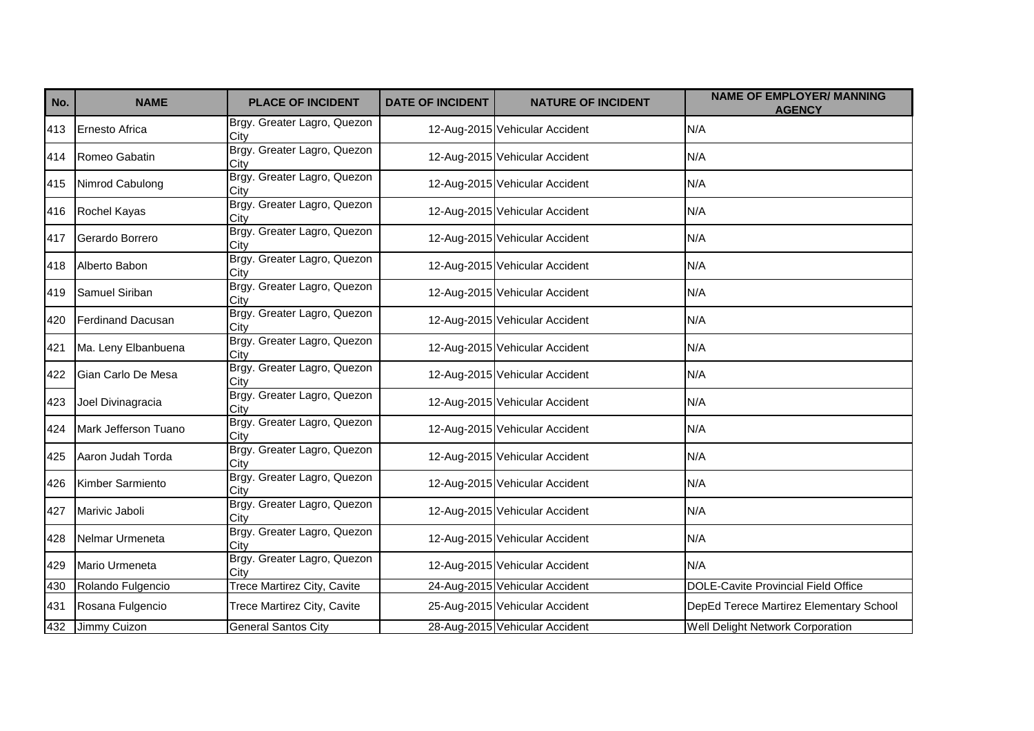| No. | <b>NAME</b>              | <b>PLACE OF INCIDENT</b>            | <b>DATE OF INCIDENT</b> | <b>NATURE OF INCIDENT</b>      | <b>NAME OF EMPLOYER/ MANNING</b><br><b>AGENCY</b> |
|-----|--------------------------|-------------------------------------|-------------------------|--------------------------------|---------------------------------------------------|
| 413 | <b>Ernesto Africa</b>    | Brgy. Greater Lagro, Quezon<br>City |                         | 12-Aug-2015 Vehicular Accident | N/A                                               |
| 414 | Romeo Gabatin            | Brgy. Greater Lagro, Quezon<br>City |                         | 12-Aug-2015 Vehicular Accident | N/A                                               |
| 415 | Nimrod Cabulong          | Brgy. Greater Lagro, Quezon<br>City |                         | 12-Aug-2015 Vehicular Accident | N/A                                               |
| 416 | Rochel Kayas             | Brgy. Greater Lagro, Quezon<br>City |                         | 12-Aug-2015 Vehicular Accident | N/A                                               |
| 417 | Gerardo Borrero          | Brgy. Greater Lagro, Quezon<br>City |                         | 12-Aug-2015 Vehicular Accident | N/A                                               |
| 418 | Alberto Babon            | Brgy. Greater Lagro, Quezon<br>City |                         | 12-Aug-2015 Vehicular Accident | N/A                                               |
| 419 | Samuel Siriban           | Brgy. Greater Lagro, Quezon<br>City |                         | 12-Aug-2015 Vehicular Accident | N/A                                               |
| 420 | <b>Ferdinand Dacusan</b> | Brgy. Greater Lagro, Quezon<br>City |                         | 12-Aug-2015 Vehicular Accident | N/A                                               |
| 421 | Ma. Leny Elbanbuena      | Brgy. Greater Lagro, Quezon<br>City |                         | 12-Aug-2015 Vehicular Accident | N/A                                               |
| 422 | Gian Carlo De Mesa       | Brgy. Greater Lagro, Quezon<br>City |                         | 12-Aug-2015 Vehicular Accident | N/A                                               |
| 423 | Joel Divinagracia        | Brgy. Greater Lagro, Quezon<br>City |                         | 12-Aug-2015 Vehicular Accident | N/A                                               |
| 424 | Mark Jefferson Tuano     | Brgy. Greater Lagro, Quezon<br>City |                         | 12-Aug-2015 Vehicular Accident | N/A                                               |
| 425 | Aaron Judah Torda        | Brgy. Greater Lagro, Quezon<br>City |                         | 12-Aug-2015 Vehicular Accident | N/A                                               |
| 426 | Kimber Sarmiento         | Brgy. Greater Lagro, Quezon<br>City |                         | 12-Aug-2015 Vehicular Accident | N/A                                               |
| 427 | Marivic Jaboli           | Brgy. Greater Lagro, Quezon<br>City |                         | 12-Aug-2015 Vehicular Accident | N/A                                               |
| 428 | Nelmar Urmeneta          | Brgy. Greater Lagro, Quezon<br>City |                         | 12-Aug-2015 Vehicular Accident | N/A                                               |
| 429 | Mario Urmeneta           | Brgy. Greater Lagro, Quezon<br>City |                         | 12-Aug-2015 Vehicular Accident | N/A                                               |
| 430 | Rolando Fulgencio        | <b>Trece Martirez City, Cavite</b>  |                         | 24-Aug-2015 Vehicular Accident | <b>DOLE-Cavite Provincial Field Office</b>        |
| 431 | Rosana Fulgencio         | Trece Martirez City, Cavite         |                         | 25-Aug-2015 Vehicular Accident | DepEd Terece Martirez Elementary School           |
| 432 | Jimmy Cuizon             | <b>General Santos City</b>          |                         | 28-Aug-2015 Vehicular Accident | Well Delight Network Corporation                  |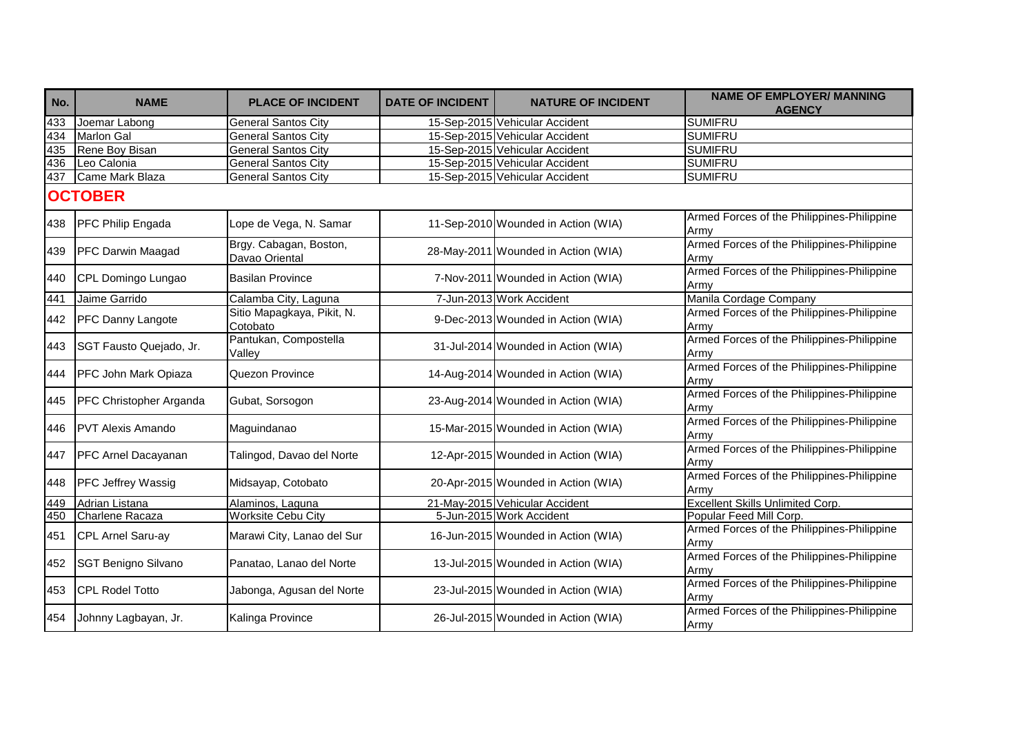| No.            | <b>NAME</b>              | <b>PLACE OF INCIDENT</b>                 | <b>DATE OF INCIDENT</b> | <b>NATURE OF INCIDENT</b>           | <b>NAME OF EMPLOYER/ MANNING</b><br><b>AGENCY</b>  |  |  |
|----------------|--------------------------|------------------------------------------|-------------------------|-------------------------------------|----------------------------------------------------|--|--|
| 433            | Joemar Labong            | <b>General Santos City</b>               |                         | 15-Sep-2015 Vehicular Accident      | <b>SUMIFRU</b>                                     |  |  |
| 434            | <b>Marlon Gal</b>        | <b>General Santos City</b>               |                         | 15-Sep-2015 Vehicular Accident      | <b>SUMIFRU</b>                                     |  |  |
| 435            | Rene Boy Bisan           | <b>General Santos City</b>               |                         | 15-Sep-2015 Vehicular Accident      | <b>SUMIFRU</b>                                     |  |  |
| 436            | Leo Calonia              | <b>General Santos City</b>               |                         | 15-Sep-2015 Vehicular Accident      | <b>SUMIFRU</b>                                     |  |  |
| 437            | Came Mark Blaza          | <b>General Santos City</b>               |                         | 15-Sep-2015 Vehicular Accident      | <b>SUMIFRU</b>                                     |  |  |
| <b>OCTOBER</b> |                          |                                          |                         |                                     |                                                    |  |  |
| 438            | PFC Philip Engada        | Lope de Vega, N. Samar                   |                         | 11-Sep-2010 Wounded in Action (WIA) | Armed Forces of the Philippines-Philippine<br>Army |  |  |
| 439            | PFC Darwin Maagad        | Brgy. Cabagan, Boston,<br>Davao Oriental |                         | 28-May-2011 Wounded in Action (WIA) | Armed Forces of the Philippines-Philippine<br>Army |  |  |
| 440            | CPL Domingo Lungao       | <b>Basilan Province</b>                  |                         | 7-Nov-2011 Wounded in Action (WIA)  | Armed Forces of the Philippines-Philippine<br>Armv |  |  |
| 441            | Jaime Garrido            | Calamba City, Laguna                     |                         | 7-Jun-2013 Work Accident            | Manila Cordage Company                             |  |  |
| 442            | PFC Danny Langote        | Sitio Mapagkaya, Pikit, N.<br>Cotobato   |                         | 9-Dec-2013 Wounded in Action (WIA)  | Armed Forces of the Philippines-Philippine<br>Army |  |  |
| 443            | SGT Fausto Quejado, Jr.  | Pantukan, Compostella<br>Valley          |                         | 31-Jul-2014 Wounded in Action (WIA) | Armed Forces of the Philippines-Philippine<br>Army |  |  |
| 444            | PFC John Mark Opiaza     | Quezon Province                          |                         | 14-Aug-2014 Wounded in Action (WIA) | Armed Forces of the Philippines-Philippine<br>Army |  |  |
| 445            | PFC Christopher Arganda  | Gubat, Sorsogon                          |                         | 23-Aug-2014 Wounded in Action (WIA) | Armed Forces of the Philippines-Philippine<br>Army |  |  |
| 446            | <b>PVT Alexis Amando</b> | Maguindanao                              |                         | 15-Mar-2015 Wounded in Action (WIA) | Armed Forces of the Philippines-Philippine<br>Army |  |  |
| 447            | PFC Arnel Dacayanan      | Talingod, Davao del Norte                |                         | 12-Apr-2015 Wounded in Action (WIA) | Armed Forces of the Philippines-Philippine<br>Army |  |  |
| 448            | PFC Jeffrey Wassig       | Midsayap, Cotobato                       |                         | 20-Apr-2015 Wounded in Action (WIA) | Armed Forces of the Philippines-Philippine<br>Armv |  |  |
| 449            | Adrian Listana           | Alaminos, Laguna                         |                         | 21-May-2015 Vehicular Accident      | <b>Excellent Skills Unlimited Corp.</b>            |  |  |
| 450            | Charlene Racaza          | <b>Worksite Cebu City</b>                |                         | 5-Jun-2015 Work Accident            | Popular Feed Mill Corp.                            |  |  |
| 451            | CPL Arnel Saru-ay        | Marawi City, Lanao del Sur               |                         | 16-Jun-2015 Wounded in Action (WIA) | Armed Forces of the Philippines-Philippine<br>Army |  |  |
| 452            | SGT Benigno Silvano      | Panatao, Lanao del Norte                 |                         | 13-Jul-2015 Wounded in Action (WIA) | Armed Forces of the Philippines-Philippine<br>Army |  |  |
| 453            | <b>CPL Rodel Totto</b>   | Jabonga, Agusan del Norte                |                         | 23-Jul-2015 Wounded in Action (WIA) | Armed Forces of the Philippines-Philippine<br>Army |  |  |
| 454            | Johnny Lagbayan, Jr.     | Kalinga Province                         |                         | 26-Jul-2015 Wounded in Action (WIA) | Armed Forces of the Philippines-Philippine<br>Army |  |  |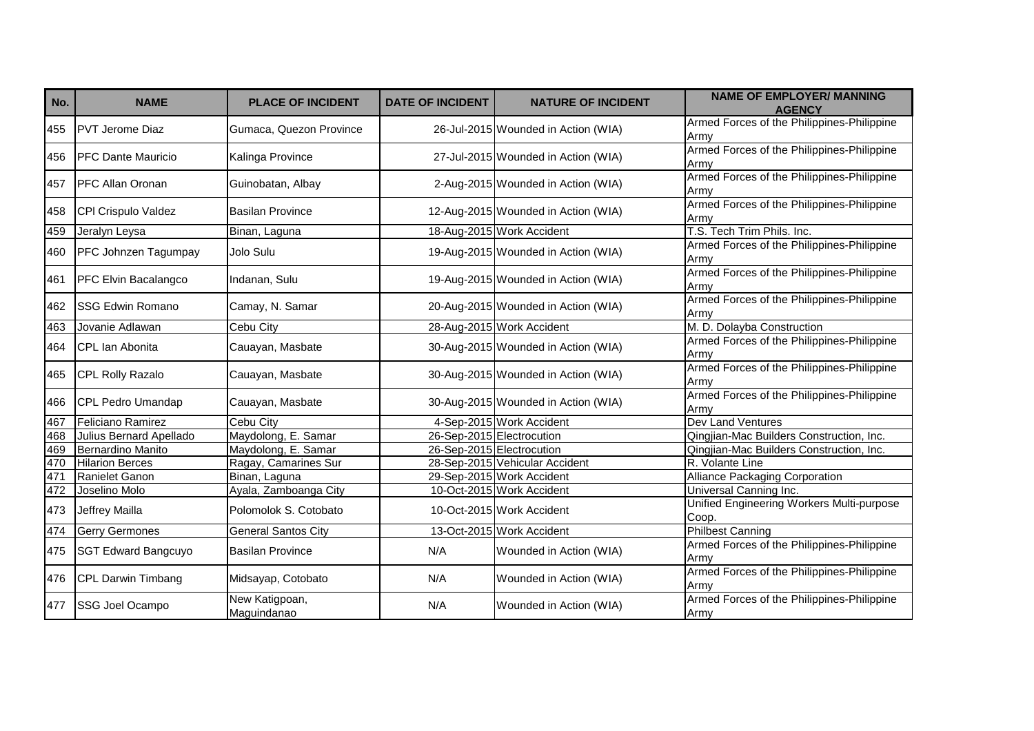| No. | <b>NAME</b>                | <b>PLACE OF INCIDENT</b>      | <b>DATE OF INCIDENT</b> | <b>NATURE OF INCIDENT</b>           | <b>NAME OF EMPLOYER/ MANNING</b><br><b>AGENCY</b>  |
|-----|----------------------------|-------------------------------|-------------------------|-------------------------------------|----------------------------------------------------|
| 455 | <b>PVT Jerome Diaz</b>     | Gumaca, Quezon Province       |                         | 26-Jul-2015 Wounded in Action (WIA) | Armed Forces of the Philippines-Philippine<br>Army |
| 456 | <b>IPFC Dante Mauricio</b> | Kalinga Province              |                         | 27-Jul-2015 Wounded in Action (WIA) | Armed Forces of the Philippines-Philippine<br>Army |
| 457 | <b>PFC Allan Oronan</b>    | Guinobatan, Albay             |                         | 2-Aug-2015 Wounded in Action (WIA)  | Armed Forces of the Philippines-Philippine<br>Army |
| 458 | CPI Crispulo Valdez        | <b>Basilan Province</b>       |                         | 12-Aug-2015 Wounded in Action (WIA) | Armed Forces of the Philippines-Philippine<br>Army |
| 459 | Jeralyn Leysa              | Binan, Laguna                 |                         | 18-Aug-2015 Work Accident           | T.S. Tech Trim Phils. Inc.                         |
| 460 | PFC Johnzen Tagumpay       | Jolo Sulu                     |                         | 19-Aug-2015 Wounded in Action (WIA) | Armed Forces of the Philippines-Philippine<br>Army |
| 461 | PFC Elvin Bacalangco       | Indanan, Sulu                 |                         | 19-Aug-2015 Wounded in Action (WIA) | Armed Forces of the Philippines-Philippine<br>Army |
| 462 | <b>SSG Edwin Romano</b>    | Camay, N. Samar               |                         | 20-Aug-2015 Wounded in Action (WIA) | Armed Forces of the Philippines-Philippine<br>Army |
| 463 | Jovanie Adlawan            | <b>Cebu City</b>              |                         | 28-Aug-2015 Work Accident           | M. D. Dolayba Construction                         |
| 464 | CPL Ian Abonita            | Cauayan, Masbate              |                         | 30-Aug-2015 Wounded in Action (WIA) | Armed Forces of the Philippines-Philippine<br>Army |
| 465 | <b>CPL Rolly Razalo</b>    | Cauayan, Masbate              |                         | 30-Aug-2015 Wounded in Action (WIA) | Armed Forces of the Philippines-Philippine<br>Army |
| 466 | CPL Pedro Umandap          | Cauayan, Masbate              |                         | 30-Aug-2015 Wounded in Action (WIA) | Armed Forces of the Philippines-Philippine<br>Armv |
| 467 | Feliciano Ramirez          | <b>Cebu City</b>              |                         | 4-Sep-2015 Work Accident            | Dev Land Ventures                                  |
| 468 | Julius Bernard Apellado    | Maydolong, E. Samar           |                         | 26-Sep-2015 Electrocution           | Qingjian-Mac Builders Construction, Inc.           |
| 469 | Bernardino Manito          | Maydolong, E. Samar           |                         | 26-Sep-2015 Electrocution           | Qingjian-Mac Builders Construction, Inc.           |
| 470 | <b>Hilarion Berces</b>     | Ragay, Camarines Sur          |                         | 28-Sep-2015 Vehicular Accident      | R. Volante Line                                    |
| 471 | Ranielet Ganon             | Binan, Laguna                 |                         | 29-Sep-2015 Work Accident           | <b>Alliance Packaging Corporation</b>              |
| 472 | Joselino Molo              | Ayala, Zamboanga City         |                         | 10-Oct-2015 Work Accident           | Universal Canning Inc.                             |
| 473 | Jeffrey Mailla             | Polomolok S. Cotobato         |                         | 10-Oct-2015 Work Accident           | Unified Engineering Workers Multi-purpose<br>Coop. |
| 474 | <b>Gerry Germones</b>      | <b>General Santos City</b>    |                         | 13-Oct-2015 Work Accident           | <b>Philbest Canning</b>                            |
| 475 | <b>SGT Edward Bangcuyo</b> | <b>Basilan Province</b>       | N/A                     | Wounded in Action (WIA)             | Armed Forces of the Philippines-Philippine<br>Army |
| 476 | CPL Darwin Timbang         | Midsayap, Cotobato            | N/A                     | Wounded in Action (WIA)             | Armed Forces of the Philippines-Philippine<br>Army |
| 477 | SSG Joel Ocampo            | New Katigpoan,<br>Maguindanao | N/A                     | Wounded in Action (WIA)             | Armed Forces of the Philippines-Philippine<br>Army |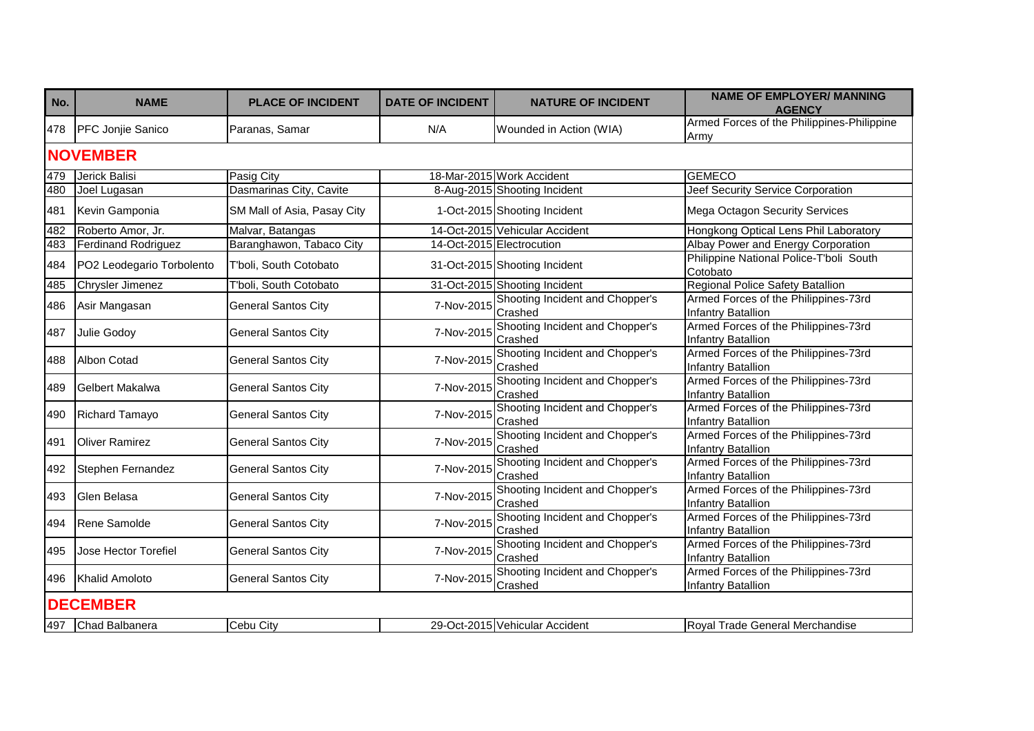| No. | <b>NAME</b>                | <b>PLACE OF INCIDENT</b>    | <b>DATE OF INCIDENT</b> | <b>NATURE OF INCIDENT</b>                  | <b>NAME OF EMPLOYER/ MANNING</b><br><b>AGENCY</b>                 |
|-----|----------------------------|-----------------------------|-------------------------|--------------------------------------------|-------------------------------------------------------------------|
| 478 | <b>PFC Jonjie Sanico</b>   | Paranas, Samar              | N/A                     | Wounded in Action (WIA)                    | Armed Forces of the Philippines-Philippine<br>Army                |
|     | <b>NOVEMBER</b>            |                             |                         |                                            |                                                                   |
| 479 | Jerick Balisi              | Pasig City                  |                         | 18-Mar-2015 Work Accident                  | <b>GEMECO</b>                                                     |
| 480 | Joel Lugasan               | Dasmarinas City, Cavite     |                         | 8-Aug-2015 Shooting Incident               | <b>Jeef Security Service Corporation</b>                          |
| 481 | Kevin Gamponia             | SM Mall of Asia, Pasay City |                         | 1-Oct-2015 Shooting Incident               | Mega Octagon Security Services                                    |
| 482 | Roberto Amor, Jr.          | Malvar, Batangas            |                         | 14-Oct-2015 Vehicular Accident             | Hongkong Optical Lens Phil Laboratory                             |
| 483 | <b>Ferdinand Rodriguez</b> | Baranghawon, Tabaco City    |                         | 14-Oct-2015 Electrocution                  | Albay Power and Energy Corporation                                |
| 484 | PO2 Leodegario Torbolento  | T'boli, South Cotobato      |                         | 31-Oct-2015 Shooting Incident              | Philippine National Police-T'boli South<br>Cotobato               |
| 485 | Chrysler Jimenez           | T'boli, South Cotobato      |                         | 31-Oct-2015 Shooting Incident              | <b>Regional Police Safety Batallion</b>                           |
| 486 | Asir Mangasan              | <b>General Santos City</b>  | 7-Nov-2015              | Shooting Incident and Chopper's<br>Crashed | Armed Forces of the Philippines-73rd<br>Infantry Batallion        |
| 487 | Julie Godoy                | <b>General Santos City</b>  | 7-Nov-2015              | Shooting Incident and Chopper's<br>Crashed | Armed Forces of the Philippines-73rd<br>Infantry Batallion        |
| 488 | Albon Cotad                | <b>General Santos City</b>  | 7-Nov-2015              | Shooting Incident and Chopper's<br>Crashed | Armed Forces of the Philippines-73rd<br>Infantry Batallion        |
| 489 | <b>Gelbert Makalwa</b>     | <b>General Santos City</b>  | 7-Nov-2015              | Shooting Incident and Chopper's<br>Crashed | Armed Forces of the Philippines-73rd<br>Infantry Batallion        |
| 490 | <b>Richard Tamayo</b>      | <b>General Santos City</b>  | 7-Nov-2015              | Shooting Incident and Chopper's<br>Crashed | Armed Forces of the Philippines-73rd<br>Infantry Batallion        |
| 491 | <b>Oliver Ramirez</b>      | <b>General Santos City</b>  | 7-Nov-2015              | Shooting Incident and Chopper's<br>Crashed | Armed Forces of the Philippines-73rd<br>Infantry Batallion        |
| 492 | Stephen Fernandez          | <b>General Santos City</b>  | 7-Nov-2015              | Shooting Incident and Chopper's<br>Crashed | Armed Forces of the Philippines-73rd<br>Infantry Batallion        |
| 493 | Glen Belasa                | <b>General Santos City</b>  | 7-Nov-2015              | Shooting Incident and Chopper's<br>Crashed | Armed Forces of the Philippines-73rd<br>Infantry Batallion        |
| 494 | Rene Samolde               | <b>General Santos City</b>  | 7-Nov-2015              | Shooting Incident and Chopper's<br>Crashed | Armed Forces of the Philippines-73rd<br><b>Infantry Batallion</b> |
| 495 | Jose Hector Torefiel       | <b>General Santos City</b>  | 7-Nov-2015              | Shooting Incident and Chopper's<br>Crashed | Armed Forces of the Philippines-73rd<br>Infantry Batallion        |
| 496 | <b>Khalid Amoloto</b>      | <b>General Santos City</b>  | 7-Nov-2015              | Shooting Incident and Chopper's<br>Crashed | Armed Forces of the Philippines-73rd<br>Infantry Batallion        |
|     | <b>DECEMBER</b>            |                             |                         |                                            |                                                                   |
| 497 | Chad Balbanera             | Cebu City                   |                         | 29-Oct-2015 Vehicular Accident             | Royal Trade General Merchandise                                   |